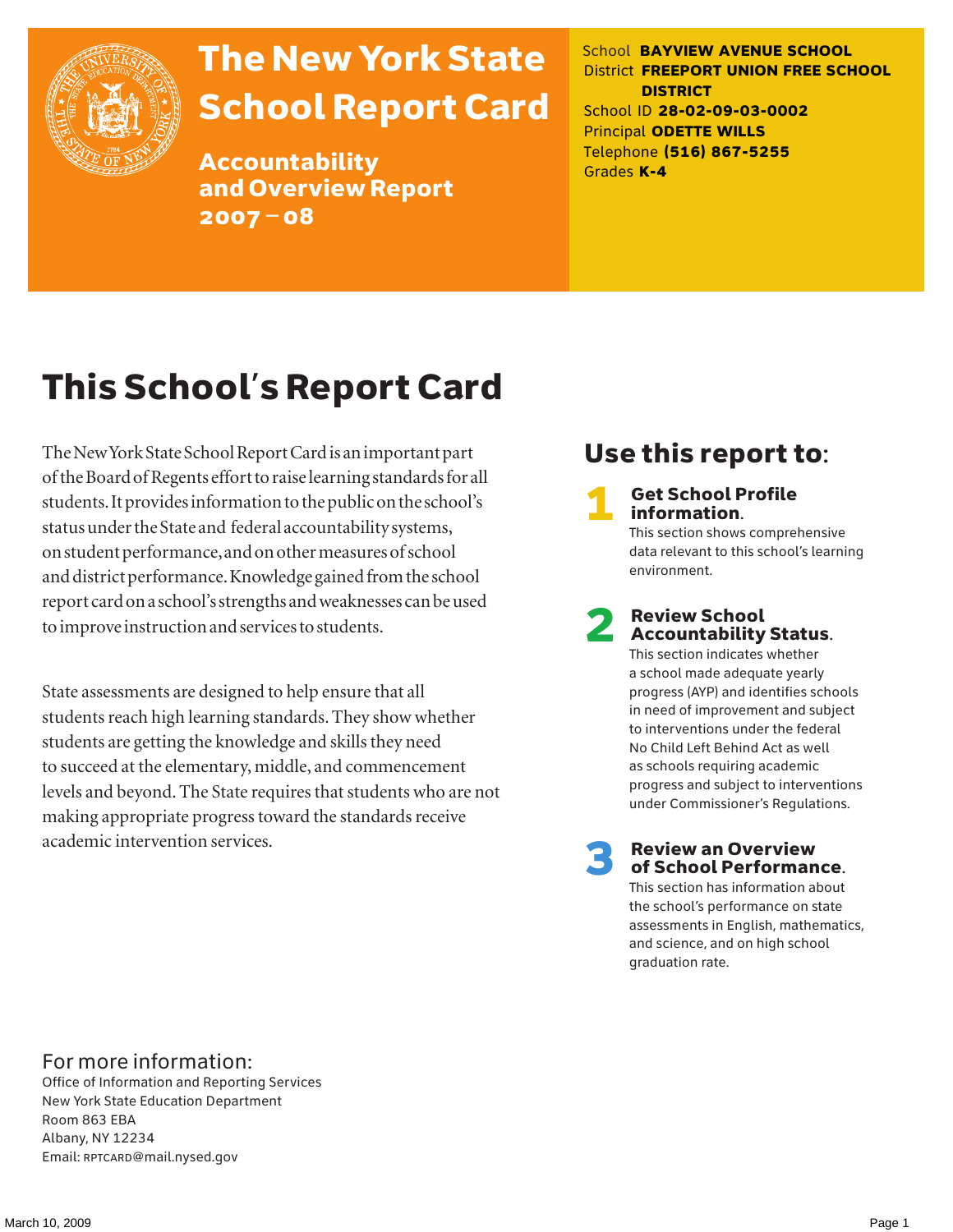

# The New York State School Report Card

Accountability and Overview Report 2007–08

School **BAYVIEW AVENUE SCHOOL** District **FREEPORT UNION FREE SCHOOL DISTRICT** School ID **28-02-09-03-0002** Principal **ODETTE WILLS** Telephone **(516) 867-5255** Grades **K-4**

# This School's Report Card

The New York State School Report Card is an important part of the Board of Regents effort to raise learning standards for all students. It provides information to the public on the school's status under the State and federal accountability systems, on student performance, and on other measures of school and district performance. Knowledge gained from the school report card on a school's strengths and weaknesses can be used to improve instruction and services to students.

State assessments are designed to help ensure that all students reach high learning standards. They show whether students are getting the knowledge and skills they need to succeed at the elementary, middle, and commencement levels and beyond. The State requires that students who are not making appropriate progress toward the standards receive academic intervention services.

### Use this report to:

**Get School Profile** information.

This section shows comprehensive data relevant to this school's learning environment.

# 2 Review School Accountability Status.

This section indicates whether a school made adequate yearly progress (AYP) and identifies schools in need of improvement and subject to interventions under the federal No Child Left Behind Act as well as schools requiring academic progress and subject to interventions under Commissioner's Regulations.

**Review an Overview** of School Performance.

This section has information about the school's performance on state assessments in English, mathematics, and science, and on high school graduation rate.

### For more information:

Office of Information and Reporting Services New York State Education Department Room 863 EBA Albany, NY 12234 Email: RPTCARD@mail.nysed.gov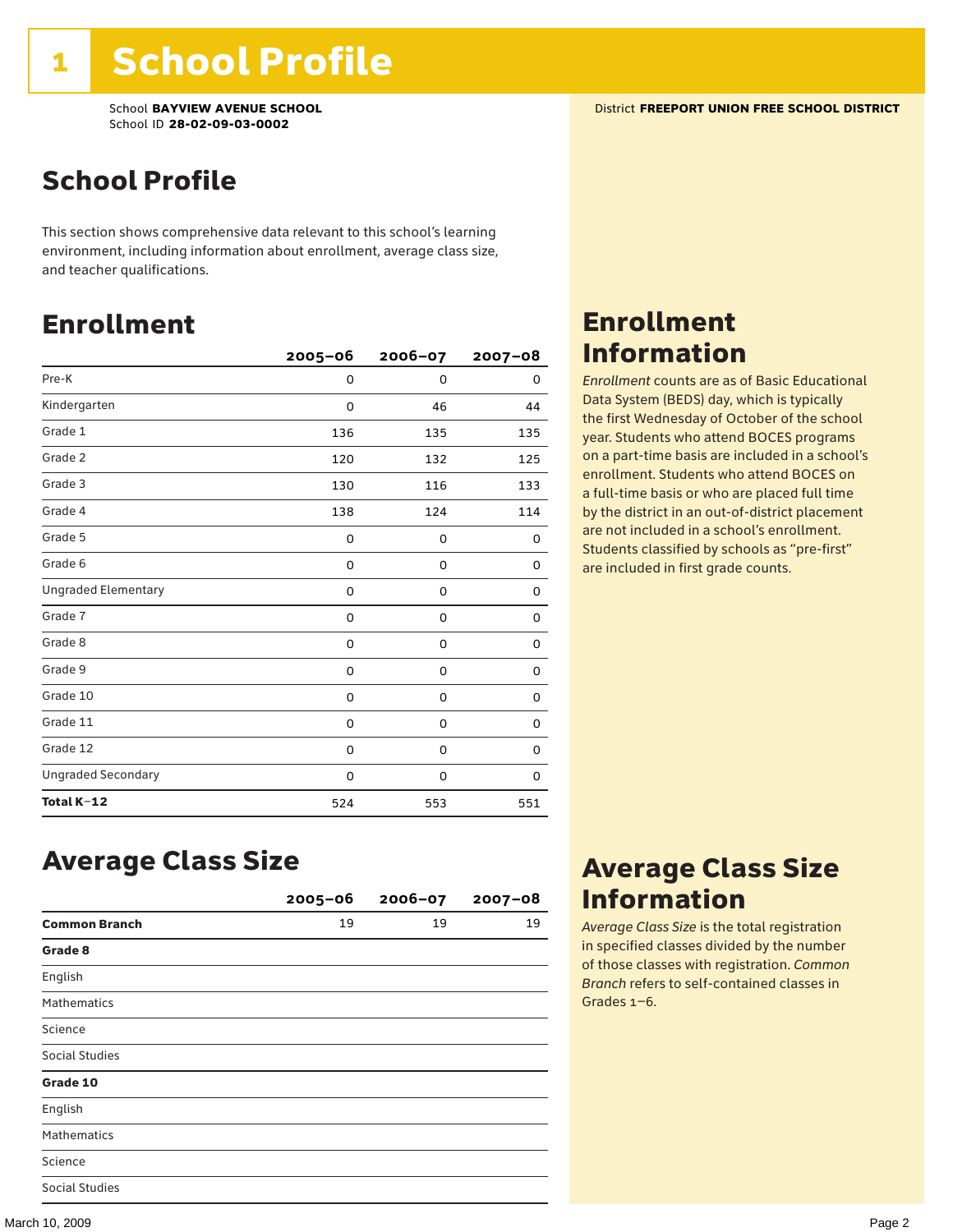School **BAYVIEW AVENUE SCHOOL** District **FREEPORT UNION FREE SCHOOL DISTRICT** School ID **28-02-09-03-0002**

### School Profile

This section shows comprehensive data relevant to this school's learning environment, including information about enrollment, average class size, and teacher qualifications.

### Enrollment

|                            | $2005 - 06$ | 2006-07     | $2007 - 08$ |
|----------------------------|-------------|-------------|-------------|
| Pre-K                      | 0           | $\Omega$    | 0           |
| Kindergarten               | 0           | 46          | 44          |
| Grade 1                    | 136         | 135         | 135         |
| Grade 2                    | 120         | 132         | 125         |
| Grade 3                    | 130         | 116         | 133         |
| Grade 4                    | 138         | 124         | 114         |
| Grade 5                    | 0           | 0           | 0           |
| Grade 6                    | 0           | 0           | 0           |
| <b>Ungraded Elementary</b> | 0           | $\mathbf 0$ | $\Omega$    |
| Grade 7                    | 0           | $\mathbf 0$ | 0           |
| Grade 8                    | 0           | 0           | 0           |
| Grade 9                    | 0           | 0           | 0           |
| Grade 10                   | 0           | 0           | 0           |
| Grade 11                   | 0           | 0           | 0           |
| Grade 12                   | 0           | 0           | 0           |
| <b>Ungraded Secondary</b>  | 0           | 0           | 0           |
| Total K-12                 | 524         | 553         | 551         |

### Enrollment Information

*Enrollment* counts are as of Basic Educational Data System (BEDS) day, which is typically the first Wednesday of October of the school year. Students who attend BOCES programs on a part-time basis are included in a school's enrollment. Students who attend BOCES on a full-time basis or who are placed full time by the district in an out-of-district placement are not included in a school's enrollment. Students classified by schools as "pre-first" are included in first grade counts.

### Average Class Size

|                       | $2005 - 06$ | $2006 - 07$ | $2007 - 08$ |
|-----------------------|-------------|-------------|-------------|
| <b>Common Branch</b>  | 19          | 19          | 19          |
| Grade 8               |             |             |             |
| English               |             |             |             |
| <b>Mathematics</b>    |             |             |             |
| Science               |             |             |             |
| <b>Social Studies</b> |             |             |             |
| Grade 10              |             |             |             |
| English               |             |             |             |
| <b>Mathematics</b>    |             |             |             |
| Science               |             |             |             |
| <b>Social Studies</b> |             |             |             |

### Average Class Size Information

*Average Class Size* is the total registration in specified classes divided by the number of those classes with registration. *Common Branch* refers to self-contained classes in Grades 1–6.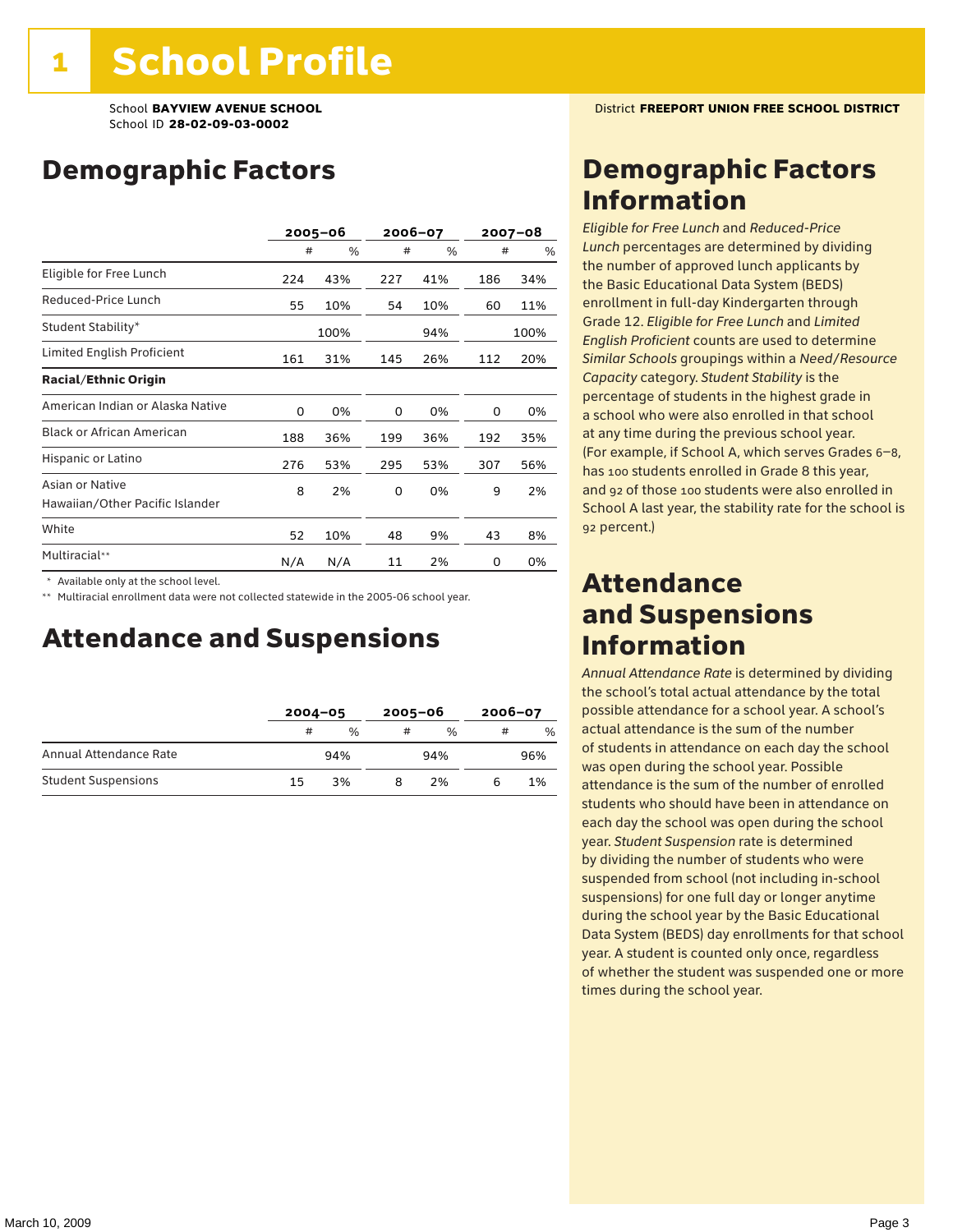### Demographic Factors

|                                                    | $2005 - 06$ |      |     | 2006-07 |     | $2007 - 08$ |
|----------------------------------------------------|-------------|------|-----|---------|-----|-------------|
|                                                    | #           | %    | #   | %       | #   | %           |
| Eligible for Free Lunch                            | 224         | 43%  | 227 | 41%     | 186 | 34%         |
| Reduced-Price Lunch                                | 55          | 10%  | 54  | 10%     | 60  | 11%         |
| Student Stability*                                 |             | 100% |     | 94%     |     | 100%        |
| Limited English Proficient                         | 161         | 31%  | 145 | 26%     | 112 | 20%         |
| <b>Racial/Ethnic Origin</b>                        |             |      |     |         |     |             |
| American Indian or Alaska Native                   | 0           | 0%   | 0   | 0%      | 0   | 0%          |
| <b>Black or African American</b>                   | 188         | 36%  | 199 | 36%     | 192 | 35%         |
| Hispanic or Latino                                 | 276         | 53%  | 295 | 53%     | 307 | 56%         |
| Asian or Native<br>Hawaiian/Other Pacific Islander | 8           | 2%   | 0   | 0%      | 9   | 2%          |
| White                                              | 52          | 10%  | 48  | 9%      | 43  | 8%          |
| Multiracial**                                      | N/A         | N/A  | 11  | 2%      | 0   | 0%          |

\* Available only at the school level.

\*\* Multiracial enrollment data were not collected statewide in the 2005-06 school year.

### Attendance and Suspensions

|                            |    | $2004 - 05$   |   | $2005 - 06$   |   | $2006 - 07$ |  |
|----------------------------|----|---------------|---|---------------|---|-------------|--|
|                            | #  | $\frac{0}{0}$ | # | $\frac{0}{6}$ | # | %           |  |
| Annual Attendance Rate     |    | 94%           |   | 94%           |   | 96%         |  |
| <b>Student Suspensions</b> | 15 | 3%            |   | 2%            |   | 1%          |  |

### Demographic Factors Information

*Eligible for Free Lunch* and *Reduced*-*Price Lunch* percentages are determined by dividing the number of approved lunch applicants by the Basic Educational Data System (BEDS) enrollment in full-day Kindergarten through Grade 12. *Eligible for Free Lunch* and *Limited English Proficient* counts are used to determine *Similar Schools* groupings within a *Need*/*Resource Capacity* category. *Student Stability* is the percentage of students in the highest grade in a school who were also enrolled in that school at any time during the previous school year. (For example, if School A, which serves Grades 6–8, has 100 students enrolled in Grade 8 this year, and 92 of those 100 students were also enrolled in School A last year, the stability rate for the school is 92 percent.)

### Attendance and Suspensions Information

*Annual Attendance Rate* is determined by dividing the school's total actual attendance by the total possible attendance for a school year. A school's actual attendance is the sum of the number of students in attendance on each day the school was open during the school year. Possible attendance is the sum of the number of enrolled students who should have been in attendance on each day the school was open during the school year. *Student Suspension* rate is determined by dividing the number of students who were suspended from school (not including in-school suspensions) for one full day or longer anytime during the school year by the Basic Educational Data System (BEDS) day enrollments for that school year. A student is counted only once, regardless of whether the student was suspended one or more times during the school year.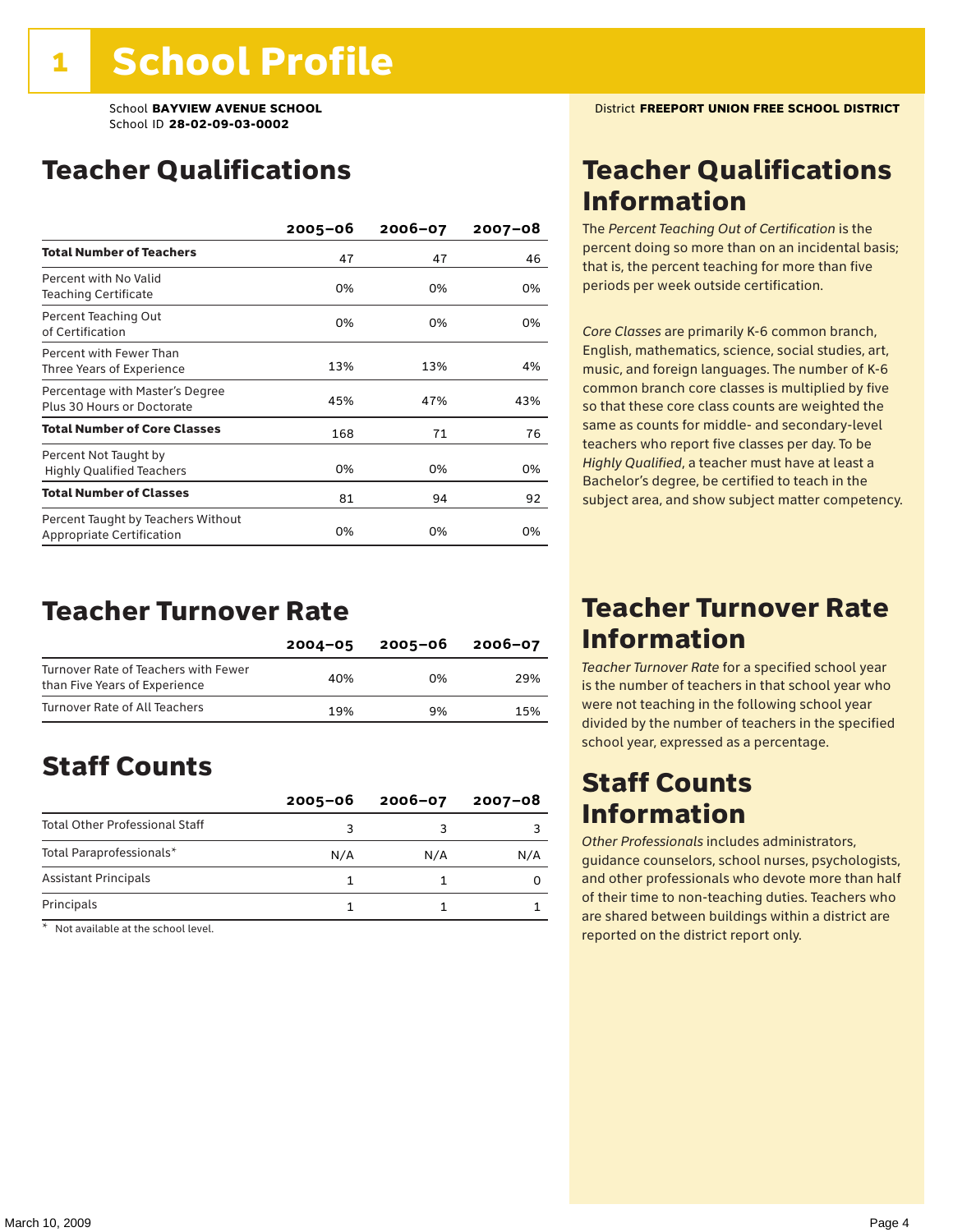### Teacher Qualifications

|                                                                        | $2005 - 06$ | $2006 - 07$ | $2007 - 08$ |
|------------------------------------------------------------------------|-------------|-------------|-------------|
| <b>Total Number of Teachers</b>                                        | 47          | 47          | 46          |
| Percent with No Valid<br>Teaching Certificate                          | 0%          | 0%          | 0%          |
| Percent Teaching Out<br>of Certification                               | 0%          | 0%          | 0%          |
| Percent with Fewer Than<br>Three Years of Experience                   | 13%         | 13%         | 4%          |
| Percentage with Master's Degree<br>Plus 30 Hours or Doctorate          | 45%         | 47%         | 43%         |
| <b>Total Number of Core Classes</b>                                    | 168         | 71          | 76          |
| Percent Not Taught by<br><b>Highly Qualified Teachers</b>              | 0%          | 0%          | 0%          |
| <b>Total Number of Classes</b>                                         | 81          | 94          | 92          |
| Percent Taught by Teachers Without<br><b>Appropriate Certification</b> | 0%          | 0%          | 0%          |

### Teacher Turnover Rate

|                                                                       | $2004 - 05$ | 2005-06 | $2006 - 07$ |
|-----------------------------------------------------------------------|-------------|---------|-------------|
| Turnover Rate of Teachers with Fewer<br>than Five Years of Experience | 40%         | በ%      | 29%         |
| Turnover Rate of All Teachers                                         | 19%         | 9%      | 15%         |

### Staff Counts

|                                       | $2005 - 06$ | $2006 - 07$ | $2007 - 08$ |
|---------------------------------------|-------------|-------------|-------------|
| <b>Total Other Professional Staff</b> |             |             |             |
| Total Paraprofessionals*              | N/A         | N/A         | N/A         |
| <b>Assistant Principals</b>           |             |             |             |
| Principals                            |             |             |             |

\* Not available at the school level.

### Teacher Qualifications Information

The *Percent Teaching Out of Certification* is the percent doing so more than on an incidental basis; that is, the percent teaching for more than five periods per week outside certification.

*Core Classes* are primarily K-6 common branch, English, mathematics, science, social studies, art, music, and foreign languages. The number of K-6 common branch core classes is multiplied by five so that these core class counts are weighted the same as counts for middle- and secondary-level teachers who report five classes per day. To be *Highly Qualified*, a teacher must have at least a Bachelor's degree, be certified to teach in the subject area, and show subject matter competency.

### Teacher Turnover Rate Information

*Teacher Turnover Rate* for a specified school year is the number of teachers in that school year who were not teaching in the following school year divided by the number of teachers in the specified school year, expressed as a percentage.

### Staff Counts Information

*Other Professionals* includes administrators, guidance counselors, school nurses, psychologists, and other professionals who devote more than half of their time to non-teaching duties. Teachers who are shared between buildings within a district are reported on the district report only.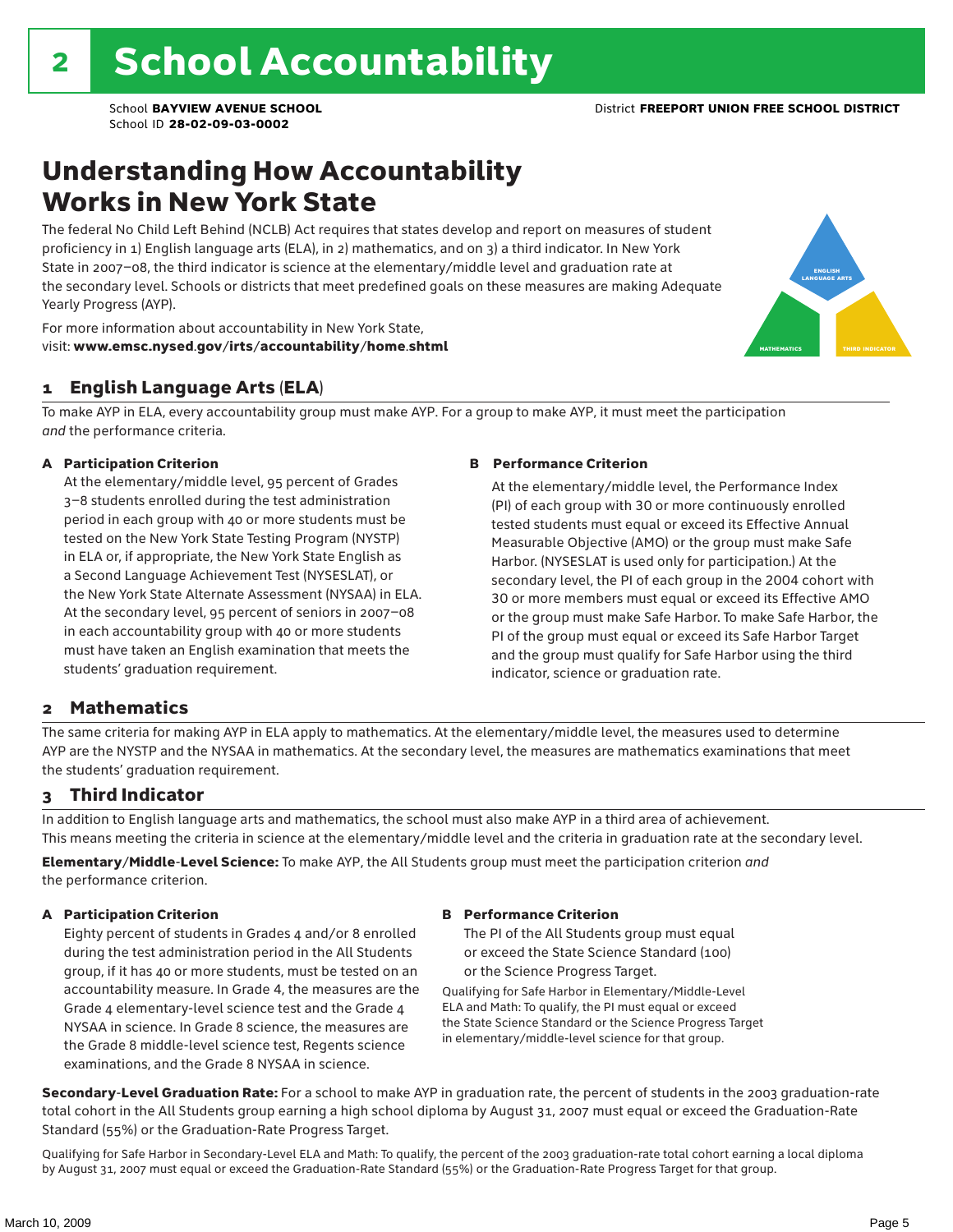### Understanding How Accountability Works in New York State

The federal No Child Left Behind (NCLB) Act requires that states develop and report on measures of student proficiency in 1) English language arts (ELA), in 2) mathematics, and on 3) a third indicator. In New York State in 2007–08, the third indicator is science at the elementary/middle level and graduation rate at the secondary level. Schools or districts that meet predefined goals on these measures are making Adequate Yearly Progress (AYP).



For more information about accountability in New York State, visit: www.emsc.nysed.gov/irts/accountability/home.shtml

#### 1 English Language Arts (ELA)

To make AYP in ELA, every accountability group must make AYP. For a group to make AYP, it must meet the participation *and* the performance criteria.

#### A Participation Criterion

At the elementary/middle level, 95 percent of Grades 3–8 students enrolled during the test administration period in each group with 40 or more students must be tested on the New York State Testing Program (NYSTP) in ELA or, if appropriate, the New York State English as a Second Language Achievement Test (NYSESLAT), or the New York State Alternate Assessment (NYSAA) in ELA. At the secondary level, 95 percent of seniors in 2007–08 in each accountability group with 40 or more students must have taken an English examination that meets the students' graduation requirement.

#### B Performance Criterion

At the elementary/middle level, the Performance Index (PI) of each group with 30 or more continuously enrolled tested students must equal or exceed its Effective Annual Measurable Objective (AMO) or the group must make Safe Harbor. (NYSESLAT is used only for participation.) At the secondary level, the PI of each group in the 2004 cohort with 30 or more members must equal or exceed its Effective AMO or the group must make Safe Harbor. To make Safe Harbor, the PI of the group must equal or exceed its Safe Harbor Target and the group must qualify for Safe Harbor using the third indicator, science or graduation rate.

#### 2 Mathematics

The same criteria for making AYP in ELA apply to mathematics. At the elementary/middle level, the measures used to determine AYP are the NYSTP and the NYSAA in mathematics. At the secondary level, the measures are mathematics examinations that meet the students' graduation requirement.

#### 3 Third Indicator

In addition to English language arts and mathematics, the school must also make AYP in a third area of achievement. This means meeting the criteria in science at the elementary/middle level and the criteria in graduation rate at the secondary level.

Elementary/Middle-Level Science: To make AYP, the All Students group must meet the participation criterion *and* the performance criterion.

#### A Participation Criterion

Eighty percent of students in Grades 4 and/or 8 enrolled during the test administration period in the All Students group, if it has 40 or more students, must be tested on an accountability measure. In Grade 4, the measures are the Grade 4 elementary-level science test and the Grade 4 NYSAA in science. In Grade 8 science, the measures are the Grade 8 middle-level science test, Regents science examinations, and the Grade 8 NYSAA in science.

#### B Performance Criterion

The PI of the All Students group must equal or exceed the State Science Standard (100) or the Science Progress Target.

Qualifying for Safe Harbor in Elementary/Middle-Level ELA and Math: To qualify, the PI must equal or exceed the State Science Standard or the Science Progress Target in elementary/middle-level science for that group.

Secondary-Level Graduation Rate: For a school to make AYP in graduation rate, the percent of students in the 2003 graduation-rate total cohort in the All Students group earning a high school diploma by August 31, 2007 must equal or exceed the Graduation-Rate Standard (55%) or the Graduation-Rate Progress Target.

Qualifying for Safe Harbor in Secondary-Level ELA and Math: To qualify, the percent of the 2003 graduation-rate total cohort earning a local diploma by August 31, 2007 must equal or exceed the Graduation-Rate Standard (55%) or the Graduation-Rate Progress Target for that group.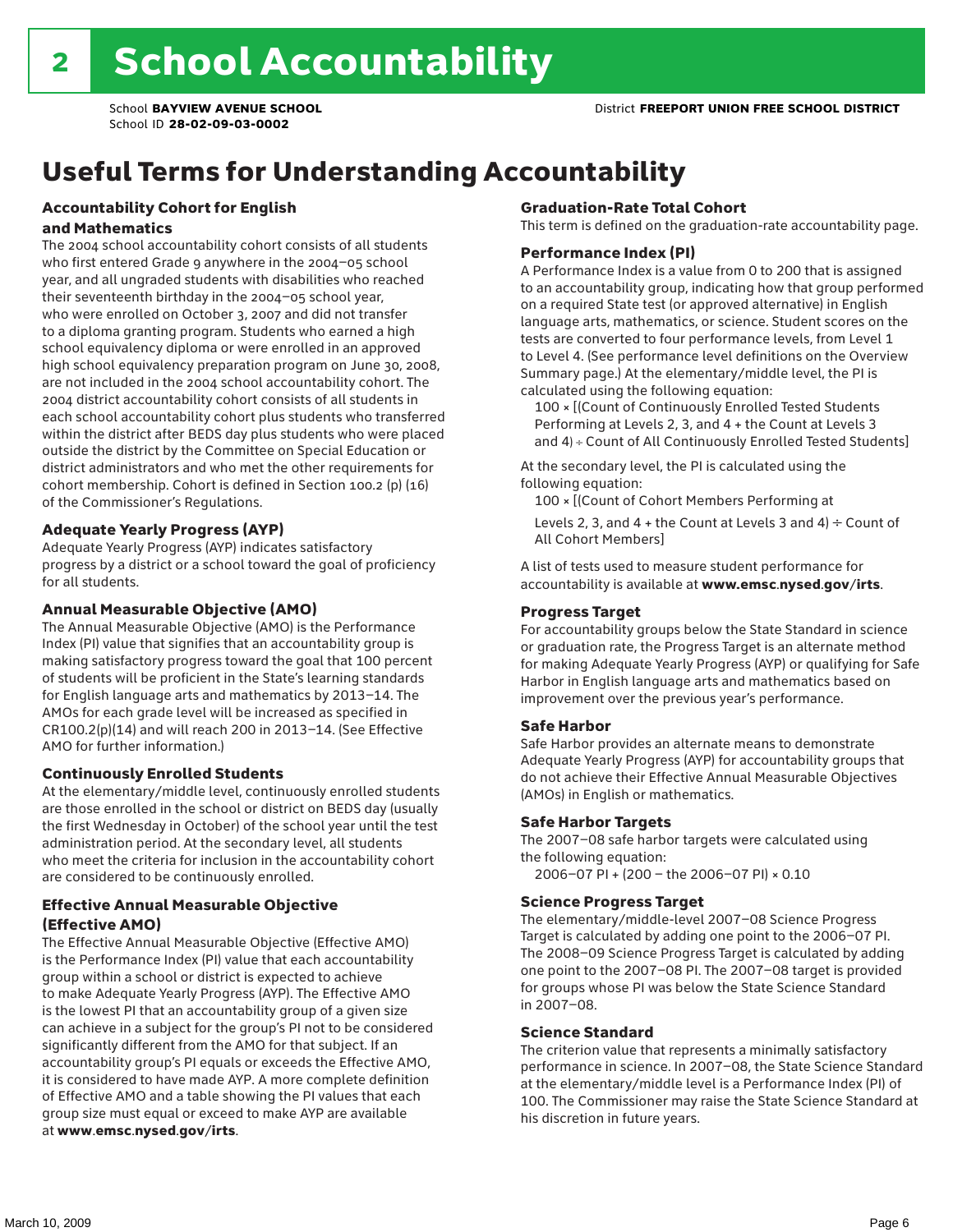# Useful Terms for Understanding Accountability

#### Accountability Cohort for English and Mathematics

The 2004 school accountability cohort consists of all students who first entered Grade 9 anywhere in the 2004–05 school year, and all ungraded students with disabilities who reached their seventeenth birthday in the 2004–05 school year, who were enrolled on October 3, 2007 and did not transfer to a diploma granting program. Students who earned a high school equivalency diploma or were enrolled in an approved high school equivalency preparation program on June 30, 2008, are not included in the 2004 school accountability cohort. The 2004 district accountability cohort consists of all students in each school accountability cohort plus students who transferred within the district after BEDS day plus students who were placed outside the district by the Committee on Special Education or district administrators and who met the other requirements for cohort membership. Cohort is defined in Section 100.2 (p) (16) of the Commissioner's Regulations.

#### Adequate Yearly Progress (AYP)

Adequate Yearly Progress (AYP) indicates satisfactory progress by a district or a school toward the goal of proficiency for all students.

#### Annual Measurable Objective (AMO)

The Annual Measurable Objective (AMO) is the Performance Index (PI) value that signifies that an accountability group is making satisfactory progress toward the goal that 100 percent of students will be proficient in the State's learning standards for English language arts and mathematics by 2013–14. The AMOs for each grade level will be increased as specified in CR100.2(p)(14) and will reach 200 in 2013–14. (See Effective AMO for further information.)

#### Continuously Enrolled Students

At the elementary/middle level, continuously enrolled students are those enrolled in the school or district on BEDS day (usually the first Wednesday in October) of the school year until the test administration period. At the secondary level, all students who meet the criteria for inclusion in the accountability cohort are considered to be continuously enrolled.

#### Effective Annual Measurable Objective (Effective AMO)

The Effective Annual Measurable Objective (Effective AMO) is the Performance Index (PI) value that each accountability group within a school or district is expected to achieve to make Adequate Yearly Progress (AYP). The Effective AMO is the lowest PI that an accountability group of a given size can achieve in a subject for the group's PI not to be considered significantly different from the AMO for that subject. If an accountability group's PI equals or exceeds the Effective AMO, it is considered to have made AYP. A more complete definition of Effective AMO and a table showing the PI values that each group size must equal or exceed to make AYP are available at www.emsc.nysed.gov/irts.

#### Graduation-Rate Total Cohort

This term is defined on the graduation-rate accountability page.

#### Performance Index (PI)

A Performance Index is a value from 0 to 200 that is assigned to an accountability group, indicating how that group performed on a required State test (or approved alternative) in English language arts, mathematics, or science. Student scores on the tests are converted to four performance levels, from Level 1 to Level 4. (See performance level definitions on the Overview Summary page.) At the elementary/middle level, the PI is calculated using the following equation:

100 × [(Count of Continuously Enrolled Tested Students Performing at Levels 2, 3, and 4 + the Count at Levels 3 and 4) ÷ Count of All Continuously Enrolled Tested Students]

At the secondary level, the PI is calculated using the following equation:

100 × [(Count of Cohort Members Performing at

Levels 2, 3, and 4 + the Count at Levels 3 and 4)  $\div$  Count of All Cohort Members]

A list of tests used to measure student performance for accountability is available at www.emsc.nysed.gov/irts.

#### Progress Target

For accountability groups below the State Standard in science or graduation rate, the Progress Target is an alternate method for making Adequate Yearly Progress (AYP) or qualifying for Safe Harbor in English language arts and mathematics based on improvement over the previous year's performance.

#### Safe Harbor

Safe Harbor provides an alternate means to demonstrate Adequate Yearly Progress (AYP) for accountability groups that do not achieve their Effective Annual Measurable Objectives (AMOs) in English or mathematics.

#### Safe Harbor Targets

The 2007–08 safe harbor targets were calculated using the following equation:

2006–07 PI + (200 – the 2006–07 PI) × 0.10

#### Science Progress Target

The elementary/middle-level 2007–08 Science Progress Target is calculated by adding one point to the 2006–07 PI. The 2008–09 Science Progress Target is calculated by adding one point to the 2007–08 PI. The 2007–08 target is provided for groups whose PI was below the State Science Standard in 2007–08.

#### Science Standard

The criterion value that represents a minimally satisfactory performance in science. In 2007–08, the State Science Standard at the elementary/middle level is a Performance Index (PI) of 100. The Commissioner may raise the State Science Standard at his discretion in future years.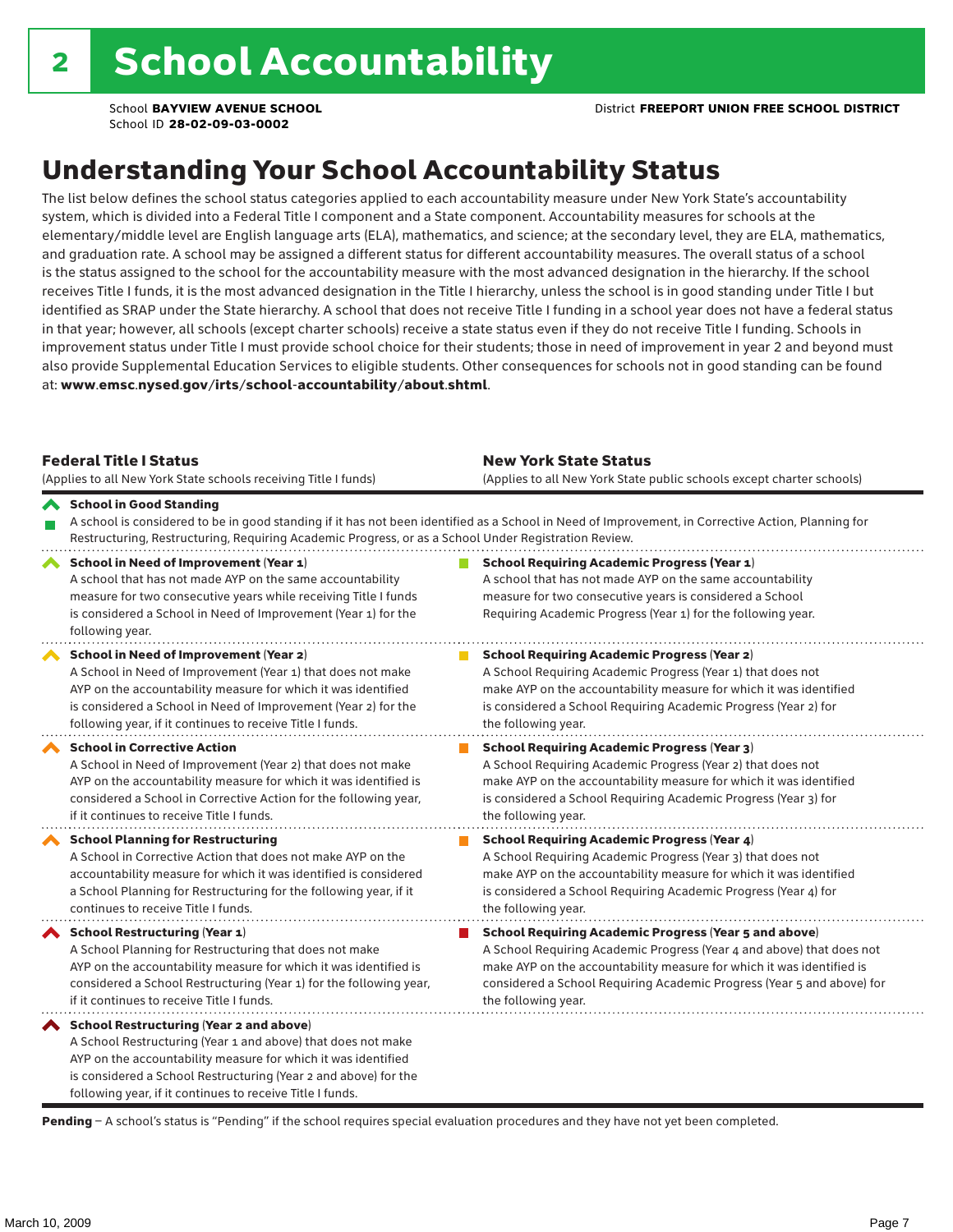## Understanding Your School Accountability Status

The list below defines the school status categories applied to each accountability measure under New York State's accountability system, which is divided into a Federal Title I component and a State component. Accountability measures for schools at the elementary/middle level are English language arts (ELA), mathematics, and science; at the secondary level, they are ELA, mathematics, and graduation rate. A school may be assigned a different status for different accountability measures. The overall status of a school is the status assigned to the school for the accountability measure with the most advanced designation in the hierarchy. If the school receives Title I funds, it is the most advanced designation in the Title I hierarchy, unless the school is in good standing under Title I but identified as SRAP under the State hierarchy. A school that does not receive Title I funding in a school year does not have a federal status in that year; however, all schools (except charter schools) receive a state status even if they do not receive Title I funding. Schools in improvement status under Title I must provide school choice for their students; those in need of improvement in year 2 and beyond must also provide Supplemental Education Services to eligible students. Other consequences for schools not in good standing can be found at: www.emsc.nysed.gov/irts/school-accountability/about.shtml.

| <b>Federal Title I Status</b><br>(Applies to all New York State schools receiving Title I funds)                                                                                                                                                                                                         | <b>New York State Status</b><br>(Applies to all New York State public schools except charter schools) |                                                                                                                                                                                                                                                                                                                 |  |  |  |
|----------------------------------------------------------------------------------------------------------------------------------------------------------------------------------------------------------------------------------------------------------------------------------------------------------|-------------------------------------------------------------------------------------------------------|-----------------------------------------------------------------------------------------------------------------------------------------------------------------------------------------------------------------------------------------------------------------------------------------------------------------|--|--|--|
| School in Good Standing<br>Restructuring, Restructuring, Requiring Academic Progress, or as a School Under Registration Review.                                                                                                                                                                          |                                                                                                       | A school is considered to be in good standing if it has not been identified as a School in Need of Improvement, in Corrective Action, Planning for                                                                                                                                                              |  |  |  |
| School in Need of Improvement (Year 1)<br>A school that has not made AYP on the same accountability<br>measure for two consecutive years while receiving Title I funds<br>is considered a School in Need of Improvement (Year 1) for the<br>following year.                                              |                                                                                                       | <b>School Requiring Academic Progress (Year 1)</b><br>A school that has not made AYP on the same accountability<br>measure for two consecutive years is considered a School<br>Requiring Academic Progress (Year 1) for the following year.                                                                     |  |  |  |
| School in Need of Improvement (Year 2)<br>A School in Need of Improvement (Year 1) that does not make<br>AYP on the accountability measure for which it was identified<br>is considered a School in Need of Improvement (Year 2) for the<br>following year, if it continues to receive Title I funds.    |                                                                                                       | <b>School Requiring Academic Progress (Year 2)</b><br>A School Requiring Academic Progress (Year 1) that does not<br>make AYP on the accountability measure for which it was identified<br>is considered a School Requiring Academic Progress (Year 2) for<br>the following year.                               |  |  |  |
| <b>School in Corrective Action</b><br>A School in Need of Improvement (Year 2) that does not make<br>AYP on the accountability measure for which it was identified is<br>considered a School in Corrective Action for the following year,<br>if it continues to receive Title I funds.                   |                                                                                                       | <b>School Requiring Academic Progress (Year 3)</b><br>A School Requiring Academic Progress (Year 2) that does not<br>make AYP on the accountability measure for which it was identified<br>is considered a School Requiring Academic Progress (Year 3) for<br>the following year.                               |  |  |  |
| <b>School Planning for Restructuring</b><br>A School in Corrective Action that does not make AYP on the<br>accountability measure for which it was identified is considered<br>a School Planning for Restructuring for the following year, if it<br>continues to receive Title I funds.                  |                                                                                                       | <b>School Requiring Academic Progress (Year 4)</b><br>A School Requiring Academic Progress (Year 3) that does not<br>make AYP on the accountability measure for which it was identified<br>is considered a School Requiring Academic Progress (Year 4) for<br>the following year.                               |  |  |  |
| School Restructuring (Year 1)<br>A School Planning for Restructuring that does not make<br>AYP on the accountability measure for which it was identified is<br>considered a School Restructuring (Year 1) for the following year,<br>if it continues to receive Title I funds.                           |                                                                                                       | <b>School Requiring Academic Progress (Year 5 and above)</b><br>A School Requiring Academic Progress (Year 4 and above) that does not<br>make AYP on the accountability measure for which it was identified is<br>considered a School Requiring Academic Progress (Year 5 and above) for<br>the following year. |  |  |  |
| School Restructuring (Year 2 and above)<br>A School Restructuring (Year 1 and above) that does not make<br>AYP on the accountability measure for which it was identified<br>is considered a School Restructuring (Year 2 and above) for the<br>following year, if it continues to receive Title I funds. |                                                                                                       |                                                                                                                                                                                                                                                                                                                 |  |  |  |

Pending - A school's status is "Pending" if the school requires special evaluation procedures and they have not yet been completed.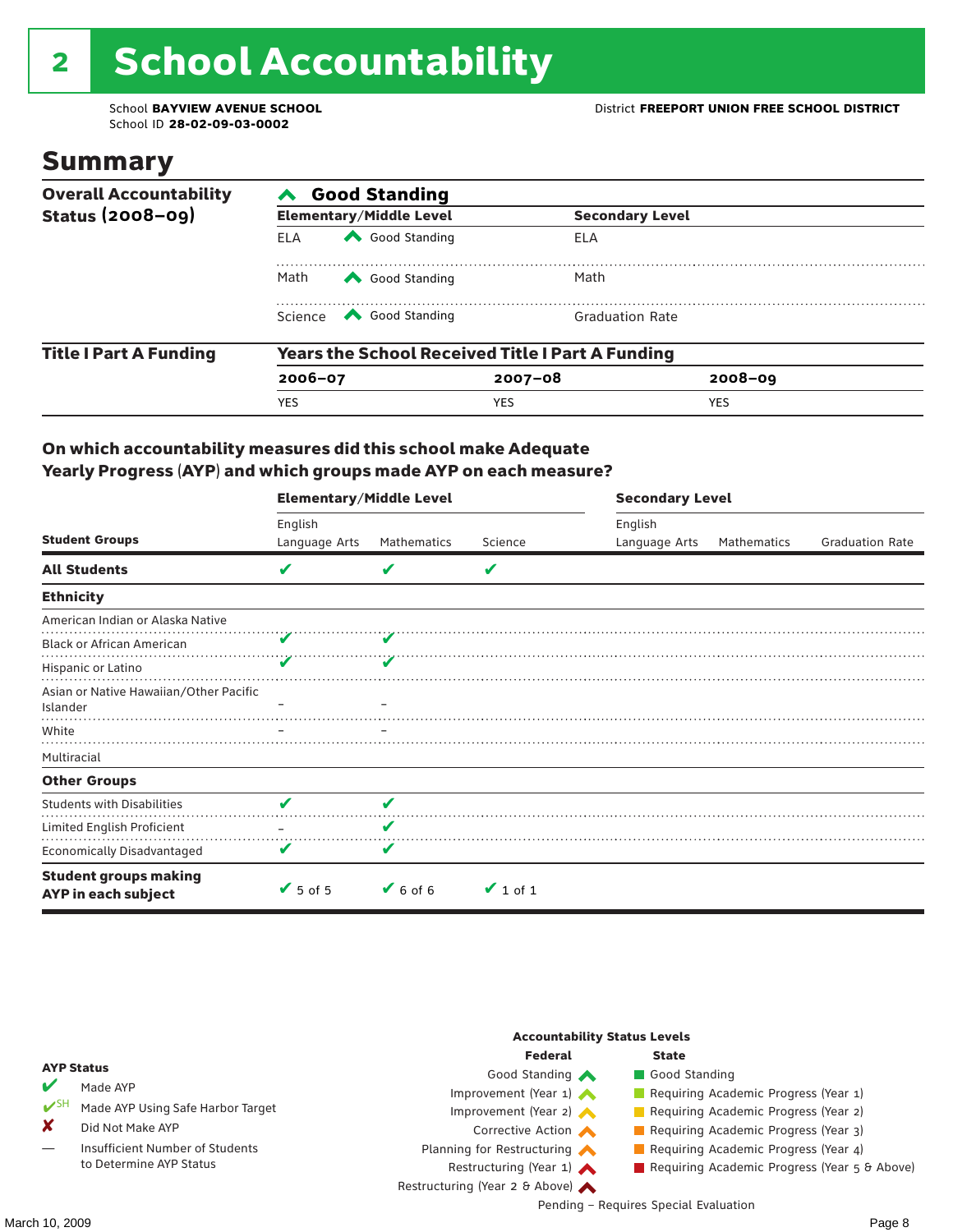# 2 School Accountability

School ID **28-02-09-03-0002**

### Summary

| <b>Overall Accountability</b> | <b>Good Standing</b>                                    |                                                                                                                                                                                                                                                                                                                                        |             |                        |  |  |  |
|-------------------------------|---------------------------------------------------------|----------------------------------------------------------------------------------------------------------------------------------------------------------------------------------------------------------------------------------------------------------------------------------------------------------------------------------------|-------------|------------------------|--|--|--|
| <b>Status (2008-09)</b>       |                                                         | <b>Elementary/Middle Level</b>                                                                                                                                                                                                                                                                                                         |             | <b>Secondary Level</b> |  |  |  |
|                               | <b>ELA</b>                                              | Good Standing                                                                                                                                                                                                                                                                                                                          | ELA         |                        |  |  |  |
|                               | Math<br>Good Standing                                   |                                                                                                                                                                                                                                                                                                                                        | Math        |                        |  |  |  |
|                               |                                                         | Science <a> Science</a> Science Science Science <a> Science <a> Science <a> Science <a> Science <a> Science <a> Science <a> Science <a> Science <a> Science <a> Science <a<br></a<br> Science <a> Science <a> Science <a<br <="" td=""><td></td><td><b>Graduation Rate</b></td></a<br></a></a></a></a></a></a></a></a></a></a></a></a> |             | <b>Graduation Rate</b> |  |  |  |
| <b>Title I Part A Funding</b> | <b>Years the School Received Title I Part A Funding</b> |                                                                                                                                                                                                                                                                                                                                        |             |                        |  |  |  |
|                               | $2006 - 07$                                             |                                                                                                                                                                                                                                                                                                                                        | $2007 - 08$ | $2008 - 09$            |  |  |  |
|                               | YES                                                     |                                                                                                                                                                                                                                                                                                                                        | <b>YES</b>  | <b>YES</b>             |  |  |  |

#### On which accountability measures did this school make Adequate Yearly Progress (AYP) and which groups made AYP on each measure?

|                                                     | <b>Elementary/Middle Level</b> |                              |               | <b>Secondary Level</b> |             |                        |  |
|-----------------------------------------------------|--------------------------------|------------------------------|---------------|------------------------|-------------|------------------------|--|
|                                                     | English                        |                              |               | English                |             |                        |  |
| <b>Student Groups</b>                               | Language Arts                  | Mathematics                  | Science       | Language Arts          | Mathematics | <b>Graduation Rate</b> |  |
| <b>All Students</b>                                 | V                              | v                            | V             |                        |             |                        |  |
| <b>Ethnicity</b>                                    |                                |                              |               |                        |             |                        |  |
| American Indian or Alaska Native                    |                                |                              |               |                        |             |                        |  |
| <b>Black or African American</b>                    |                                |                              |               |                        |             |                        |  |
| Hispanic or Latino                                  | v                              |                              |               |                        |             |                        |  |
| Asian or Native Hawaiian/Other Pacific<br>Islander  |                                |                              |               |                        |             |                        |  |
| White                                               |                                |                              |               |                        |             |                        |  |
| Multiracial                                         |                                |                              |               |                        |             |                        |  |
| <b>Other Groups</b>                                 |                                |                              |               |                        |             |                        |  |
| <b>Students with Disabilities</b>                   | v                              | ✔                            |               |                        |             |                        |  |
| Limited English Proficient                          |                                | V                            |               |                        |             |                        |  |
| <b>Economically Disadvantaged</b>                   | V                              | V                            |               |                        |             |                        |  |
| <b>Student groups making</b><br>AYP in each subject | $\blacktriangleright$ 5 of 5   | $\blacktriangleright$ 6 of 6 | $\vee$ 1 of 1 |                        |             |                        |  |

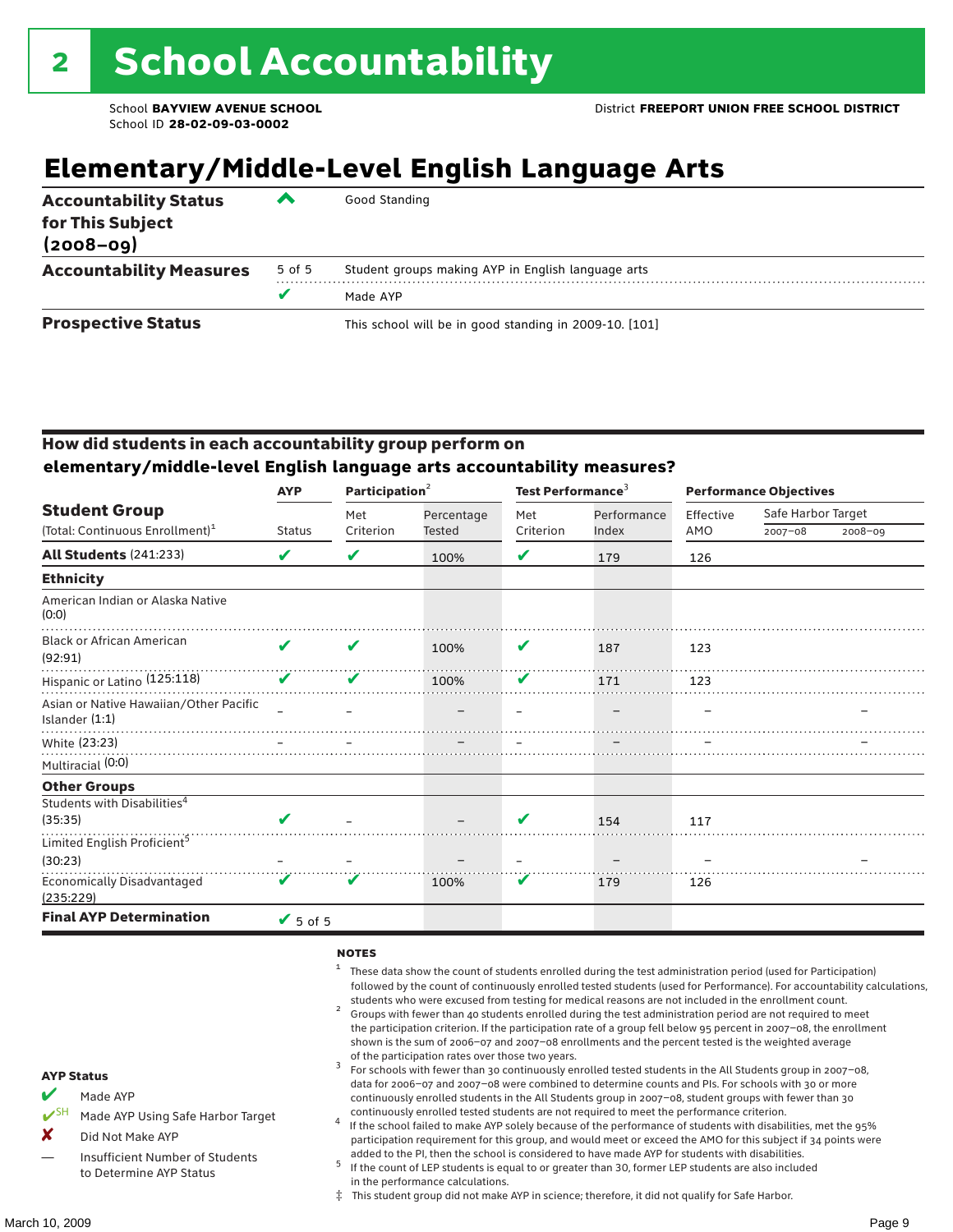## **Elementary/Middle-Level English Language Arts**

| <b>Accountability Status</b><br>for This Subject<br>$(2008 - 09)$ | ▰      | Good Standing                                          |
|-------------------------------------------------------------------|--------|--------------------------------------------------------|
| <b>Accountability Measures</b>                                    | 5 of 5 | Student groups making AYP in English language arts     |
|                                                                   | v      | Made AYP                                               |
| <b>Prospective Status</b>                                         |        | This school will be in good standing in 2009-10. [101] |

#### How did students in each accountability group perform on **elementary/middle-level English language arts accountability measures?**

|                                                            | <b>AYP</b>      | Participation <sup>2</sup> |            | Test Performance <sup>3</sup> |             | <b>Performance Objectives</b> |                    |         |
|------------------------------------------------------------|-----------------|----------------------------|------------|-------------------------------|-------------|-------------------------------|--------------------|---------|
| <b>Student Group</b>                                       |                 | Met                        | Percentage | Met                           | Performance | Effective                     | Safe Harbor Target |         |
| (Total: Continuous Enrollment) <sup>1</sup>                | <b>Status</b>   | Criterion                  | Tested     | Criterion                     | Index       | AMO                           | $2007 - 08$        | 2008-09 |
| <b>All Students (241:233)</b>                              | V               | V                          | 100%       | V                             | 179         | 126                           |                    |         |
| <b>Ethnicity</b>                                           |                 |                            |            |                               |             |                               |                    |         |
| American Indian or Alaska Native<br>(0:0)                  |                 |                            |            |                               |             |                               |                    |         |
| <b>Black or African American</b><br>(92:91)                | ✔               | ✔                          | 100%       | V                             | 187         | 123                           |                    |         |
| Hispanic or Latino (125:118)                               | V               | V                          | 100%       | V                             | 171         | 123                           |                    |         |
| Asian or Native Hawaiian/Other Pacific<br>Islander $(1:1)$ |                 |                            |            |                               |             |                               |                    |         |
| White (23:23)                                              |                 |                            |            |                               |             |                               |                    |         |
| Multiracial (0:0)                                          |                 |                            |            |                               |             |                               |                    |         |
| <b>Other Groups</b>                                        |                 |                            |            |                               |             |                               |                    |         |
| Students with Disabilities <sup>4</sup>                    |                 |                            |            |                               |             |                               |                    |         |
| (35:35)                                                    |                 |                            |            | V                             | 154         | 117                           |                    |         |
| Limited English Proficient <sup>5</sup>                    |                 |                            |            |                               |             |                               |                    |         |
| (30:23)                                                    |                 |                            |            |                               |             |                               |                    |         |
| <b>Economically Disadvantaged</b><br>(235:229)             | V               | v                          | 100%       | V                             | 179         | 126                           |                    |         |
| <b>Final AYP Determination</b>                             | $\sqrt{5}$ of 5 |                            |            |                               |             |                               |                    |         |

#### **NOTES**

- <sup>1</sup> These data show the count of students enrolled during the test administration period (used for Participation) followed by the count of continuously enrolled tested students (used for Performance). For accountability calculations,
- students who were excused from testing for medical reasons are not included in the enrollment count. <sup>2</sup> Groups with fewer than 40 students enrolled during the test administration period are not required to meet the participation criterion. If the participation rate of a group fell below 95 percent in 2007–08, the enrollment shown is the sum of 2006–07 and 2007–08 enrollments and the percent tested is the weighted average
- of the participation rates over those two years.<br><sup>3</sup> For schools with fewer than 30 continuously enrolled tested students in the All Students group in 2007–08, data for 2006–07 and 2007–08 were combined to determine counts and PIs. For schools with 30 or more continuously enrolled students in the All Students group in 2007–08, student groups with fewer than 30
- continuously enrolled tested students are not required to meet the performance criterion. <sup>4</sup> If the school failed to make AYP solely because of the performance of students with disabilities, met the 95% participation requirement for this group, and would meet or exceed the AMO for this subject if 34 points were added to the PI, then the school is considered to have made AYP for students with disabilities.
- $5$  If the count of LEP students is equal to or greater than 30, former LEP students are also included in the performance calculations.
- ‡ This student group did not make AYP in science; therefore, it did not qualify for Safe Harbor.
- Made AYP
	- Made AYP Using Safe Harbor Target
- X Did Not Make AYP
- Insufficient Number of Students to Determine AYP Status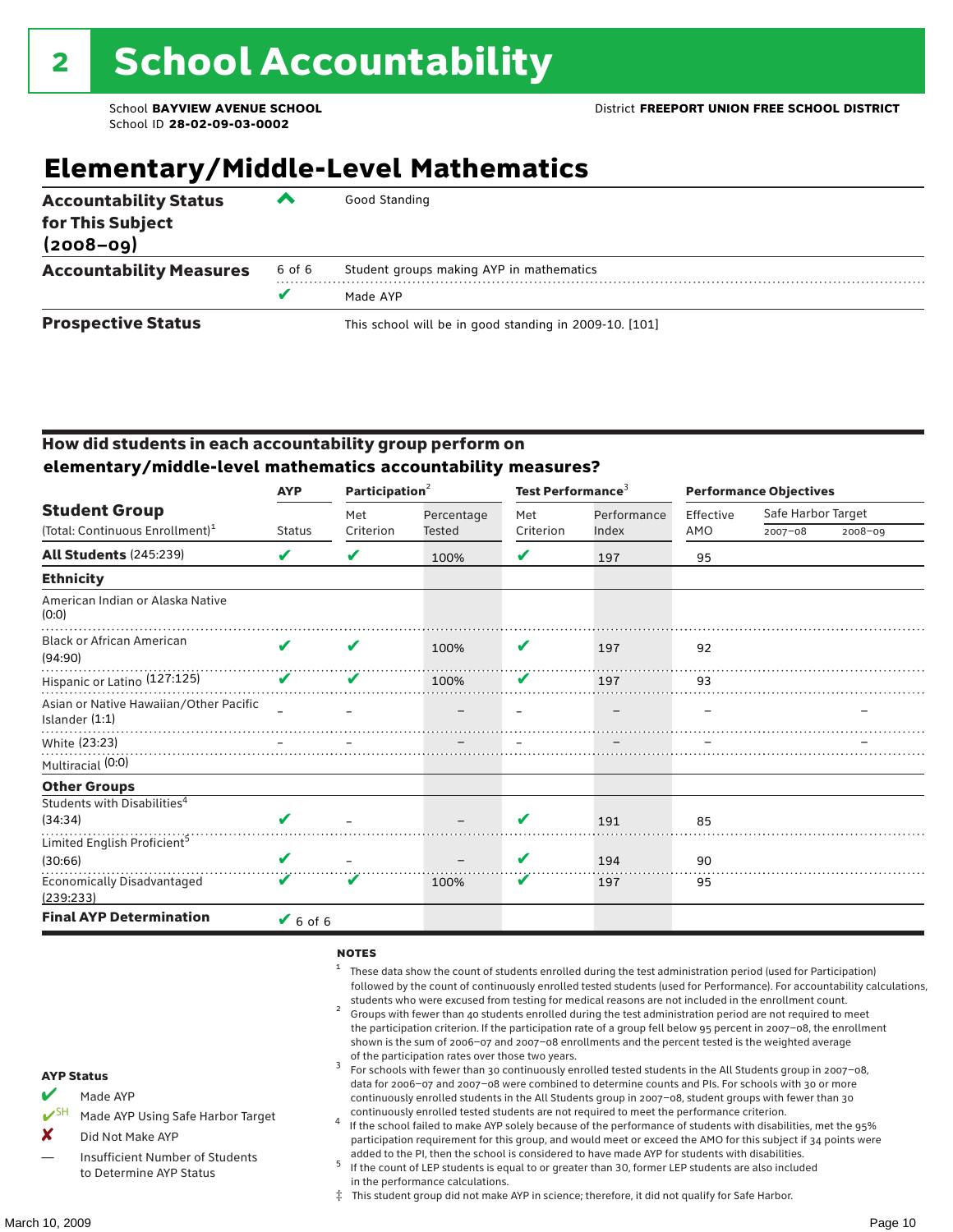## **Elementary/Middle-Level Mathematics**

| <b>Accountability Status</b><br>for This Subject<br>$(2008 - 09)$ | ▰      | Good Standing                                          |
|-------------------------------------------------------------------|--------|--------------------------------------------------------|
| <b>Accountability Measures</b>                                    | 6 of 6 | Student groups making AYP in mathematics               |
|                                                                   | v      | Made AYP                                               |
| <b>Prospective Status</b>                                         |        | This school will be in good standing in 2009-10. [101] |

#### How did students in each accountability group perform on **elementary/middle-level mathematics accountability measures?**

|                                                            | <b>AYP</b>    |           | Participation <sup>2</sup> |                         | Test Performance <sup>3</sup> | <b>Performance Objectives</b> |                    |             |  |
|------------------------------------------------------------|---------------|-----------|----------------------------|-------------------------|-------------------------------|-------------------------------|--------------------|-------------|--|
| <b>Student Group</b>                                       |               | Met       | Percentage                 | Met                     | Performance                   | Effective                     | Safe Harbor Target |             |  |
| (Total: Continuous Enrollment) <sup>1</sup>                | <b>Status</b> | Criterion | <b>Tested</b>              | Criterion               | Index                         | AMO                           | $2007 - 08$        | $2008 - 09$ |  |
| <b>All Students (245:239)</b>                              | V             | V         | 100%                       | V                       | 197                           | 95                            |                    |             |  |
| <b>Ethnicity</b>                                           |               |           |                            |                         |                               |                               |                    |             |  |
| American Indian or Alaska Native<br>(0:0)                  |               |           |                            |                         |                               |                               |                    |             |  |
| <b>Black or African American</b><br>(94:90)                | ✔             | ✔         | 100%                       | V                       | 197                           | 92                            |                    |             |  |
| Hispanic or Latino (127:125)                               | V             | V         | 100%                       | V                       | 197                           | 93                            |                    |             |  |
| Asian or Native Hawaiian/Other Pacific<br>Islander $(1:1)$ |               |           |                            |                         |                               |                               |                    |             |  |
| White (23:23)                                              |               |           |                            |                         |                               |                               |                    |             |  |
| Multiracial (0:0)                                          |               |           |                            |                         |                               |                               |                    |             |  |
| <b>Other Groups</b>                                        |               |           |                            |                         |                               |                               |                    |             |  |
| Students with Disabilities <sup>4</sup>                    |               |           |                            |                         |                               |                               |                    |             |  |
| (34:34)                                                    | V             |           |                            | $\overline{\mathbf{v}}$ | 191                           | 85                            |                    |             |  |
| Limited English Proficient <sup>5</sup>                    |               |           |                            |                         |                               |                               |                    |             |  |
| (30:66)                                                    | V             |           |                            | V                       | 194                           | 90                            |                    |             |  |
| <b>Economically Disadvantaged</b><br>(239:233)             | V             | V         | 100%                       | V                       | 197                           | 95                            |                    |             |  |
| <b>Final AYP Determination</b>                             | $6$ of 6      |           |                            |                         |                               |                               |                    |             |  |

#### **NOTES**

- <sup>1</sup> These data show the count of students enrolled during the test administration period (used for Participation) followed by the count of continuously enrolled tested students (used for Performance). For accountability calculations,
- students who were excused from testing for medical reasons are not included in the enrollment count.<br><sup>2</sup> Groups with fewer than 40 students enrolled during the test administration period are not required to meet the participation criterion. If the participation rate of a group fell below 95 percent in 2007–08, the enrollment shown is the sum of 2006–07 and 2007–08 enrollments and the percent tested is the weighted average
- of the participation rates over those two years.<br><sup>3</sup> For schools with fewer than 30 continuously enrolled tested students in the All Students group in 2007–08, data for 2006–07 and 2007–08 were combined to determine counts and PIs. For schools with 30 or more continuously enrolled students in the All Students group in 2007–08, student groups with fewer than 30
- continuously enrolled tested students are not required to meet the performance criterion. <sup>4</sup> If the school failed to make AYP solely because of the performance of students with disabilities, met the 95% participation requirement for this group, and would meet or exceed the AMO for this subject if 34 points were added to the PI, then the school is considered to have made AYP for students with disabilities.
- $5$  If the count of LEP students is equal to or greater than 30, former LEP students are also included in the performance calculations.
- ‡ This student group did not make AYP in science; therefore, it did not qualify for Safe Harbor.

Made AYP

Made AYP Using Safe Harbor Target

- X Did Not Make AYP
- Insufficient Number of Students to Determine AYP Status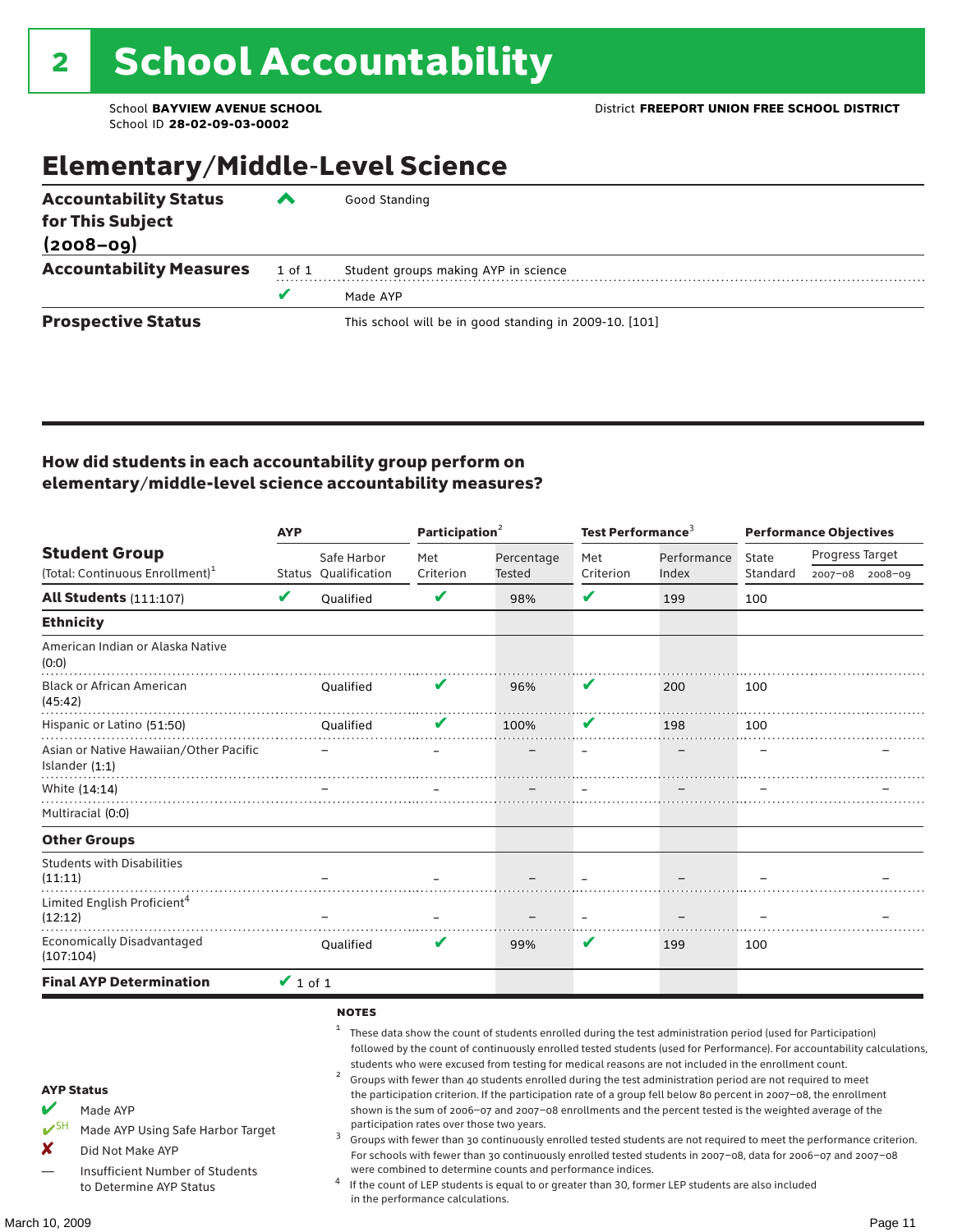### Elementary/Middle-Level Science

| <b>Accountability Status</b><br>for This Subject<br>$(2008 - 09)$ | ▰      | Good Standing                                          |
|-------------------------------------------------------------------|--------|--------------------------------------------------------|
|                                                                   |        |                                                        |
| <b>Accountability Measures</b>                                    | 1 of 1 | Student groups making AYP in science                   |
|                                                                   | v      | Made AYP                                               |
| <b>Prospective Status</b>                                         |        | This school will be in good standing in 2009-10. [101] |

#### How did students in each accountability group perform on elementary/middle-level science accountability measures?

|                                                                                                                                                                                   | <b>AYP</b>                 |                                                   | Participation <sup>2</sup>                                                    |                                                            | Test Performance <sup>3</sup> |                                                                                                                                                                                                                                                                                                                                                                                                                                                                                                                                                                                                                                                                                                                                                                                                                                                                                                                                                                                                                                                 | <b>Performance Objectives</b> |                 |                 |
|-----------------------------------------------------------------------------------------------------------------------------------------------------------------------------------|----------------------------|---------------------------------------------------|-------------------------------------------------------------------------------|------------------------------------------------------------|-------------------------------|-------------------------------------------------------------------------------------------------------------------------------------------------------------------------------------------------------------------------------------------------------------------------------------------------------------------------------------------------------------------------------------------------------------------------------------------------------------------------------------------------------------------------------------------------------------------------------------------------------------------------------------------------------------------------------------------------------------------------------------------------------------------------------------------------------------------------------------------------------------------------------------------------------------------------------------------------------------------------------------------------------------------------------------------------|-------------------------------|-----------------|-----------------|
| <b>Student Group</b>                                                                                                                                                              |                            | Safe Harbor                                       | Met                                                                           | Percentage                                                 | Met                           | Performance                                                                                                                                                                                                                                                                                                                                                                                                                                                                                                                                                                                                                                                                                                                                                                                                                                                                                                                                                                                                                                     | State                         | Progress Target |                 |
| (Total: Continuous Enrollment) <sup>1</sup>                                                                                                                                       |                            | Status Qualification                              | Criterion                                                                     | Tested                                                     | Criterion                     | Index                                                                                                                                                                                                                                                                                                                                                                                                                                                                                                                                                                                                                                                                                                                                                                                                                                                                                                                                                                                                                                           | Standard                      |                 | 2007-08 2008-09 |
| <b>All Students (111:107)</b>                                                                                                                                                     | $\boldsymbol{\mathcal{U}}$ | Qualified                                         | V                                                                             | 98%                                                        | V                             | 199                                                                                                                                                                                                                                                                                                                                                                                                                                                                                                                                                                                                                                                                                                                                                                                                                                                                                                                                                                                                                                             | 100                           |                 |                 |
| <b>Ethnicity</b>                                                                                                                                                                  |                            |                                                   |                                                                               |                                                            |                               |                                                                                                                                                                                                                                                                                                                                                                                                                                                                                                                                                                                                                                                                                                                                                                                                                                                                                                                                                                                                                                                 |                               |                 |                 |
| American Indian or Alaska Native<br>(0:0)                                                                                                                                         |                            |                                                   |                                                                               |                                                            |                               |                                                                                                                                                                                                                                                                                                                                                                                                                                                                                                                                                                                                                                                                                                                                                                                                                                                                                                                                                                                                                                                 |                               |                 |                 |
| <b>Black or African American</b><br>(45:42)                                                                                                                                       |                            | <b>Oualified</b>                                  | V                                                                             | 96%                                                        | V                             | 200                                                                                                                                                                                                                                                                                                                                                                                                                                                                                                                                                                                                                                                                                                                                                                                                                                                                                                                                                                                                                                             | 100                           |                 |                 |
| Hispanic or Latino (51:50)                                                                                                                                                        |                            | Oualified                                         |                                                                               | 100%                                                       | V                             | 198                                                                                                                                                                                                                                                                                                                                                                                                                                                                                                                                                                                                                                                                                                                                                                                                                                                                                                                                                                                                                                             | 100                           |                 |                 |
| Asian or Native Hawaiian/Other Pacific<br>Islander (1:1)                                                                                                                          |                            |                                                   |                                                                               |                                                            |                               |                                                                                                                                                                                                                                                                                                                                                                                                                                                                                                                                                                                                                                                                                                                                                                                                                                                                                                                                                                                                                                                 |                               |                 |                 |
| White (14:14)                                                                                                                                                                     |                            |                                                   |                                                                               |                                                            |                               |                                                                                                                                                                                                                                                                                                                                                                                                                                                                                                                                                                                                                                                                                                                                                                                                                                                                                                                                                                                                                                                 |                               |                 |                 |
| Multiracial (0:0)                                                                                                                                                                 |                            |                                                   |                                                                               |                                                            |                               |                                                                                                                                                                                                                                                                                                                                                                                                                                                                                                                                                                                                                                                                                                                                                                                                                                                                                                                                                                                                                                                 |                               |                 |                 |
| <b>Other Groups</b>                                                                                                                                                               |                            |                                                   |                                                                               |                                                            |                               |                                                                                                                                                                                                                                                                                                                                                                                                                                                                                                                                                                                                                                                                                                                                                                                                                                                                                                                                                                                                                                                 |                               |                 |                 |
| <b>Students with Disabilities</b><br>(11:11)                                                                                                                                      |                            |                                                   |                                                                               |                                                            |                               |                                                                                                                                                                                                                                                                                                                                                                                                                                                                                                                                                                                                                                                                                                                                                                                                                                                                                                                                                                                                                                                 |                               |                 |                 |
| Limited English Proficient <sup>4</sup><br>(12:12)                                                                                                                                |                            |                                                   |                                                                               |                                                            |                               |                                                                                                                                                                                                                                                                                                                                                                                                                                                                                                                                                                                                                                                                                                                                                                                                                                                                                                                                                                                                                                                 |                               |                 |                 |
| <b>Economically Disadvantaged</b><br>(107:104)                                                                                                                                    |                            | <b>Oualified</b>                                  | v                                                                             | 99%                                                        | V                             | 199                                                                                                                                                                                                                                                                                                                                                                                                                                                                                                                                                                                                                                                                                                                                                                                                                                                                                                                                                                                                                                             | 100                           |                 |                 |
| <b>Final AYP Determination</b>                                                                                                                                                    | $\vee$ 1 of 1              |                                                   |                                                                               |                                                            |                               |                                                                                                                                                                                                                                                                                                                                                                                                                                                                                                                                                                                                                                                                                                                                                                                                                                                                                                                                                                                                                                                 |                               |                 |                 |
| <b>AYP Status</b><br>V<br>Made AYP<br>$V^{\text{SH}}$<br>Made AYP Using Safe Harbor Target<br>X<br>Did Not Make AYP<br>Insufficient Number of Students<br>to Determine AYP Status |                            | <b>NOTES</b><br>1<br>$\overline{\mathbf{c}}$<br>3 | participation rates over those two years.<br>in the performance calculations. | were combined to determine counts and performance indices. |                               | These data show the count of students enrolled during the test administration period (used for Participation)<br>followed by the count of continuously enrolled tested students (used for Performance). For accountability calculations,<br>students who were excused from testing for medical reasons are not included in the enrollment count.<br>Groups with fewer than 40 students enrolled during the test administration period are not required to meet<br>the participation criterion. If the participation rate of a group fell below 80 percent in 2007-08, the enrollment<br>shown is the sum of 2006-07 and 2007-08 enrollments and the percent tested is the weighted average of the<br>Groups with fewer than 30 continuously enrolled tested students are not required to meet the performance criterion.<br>For schools with fewer than 30 continuously enrolled tested students in 2007-08, data for 2006-07 and 2007-08<br>If the count of LEP students is equal to or greater than 30, former LEP students are also included |                               |                 |                 |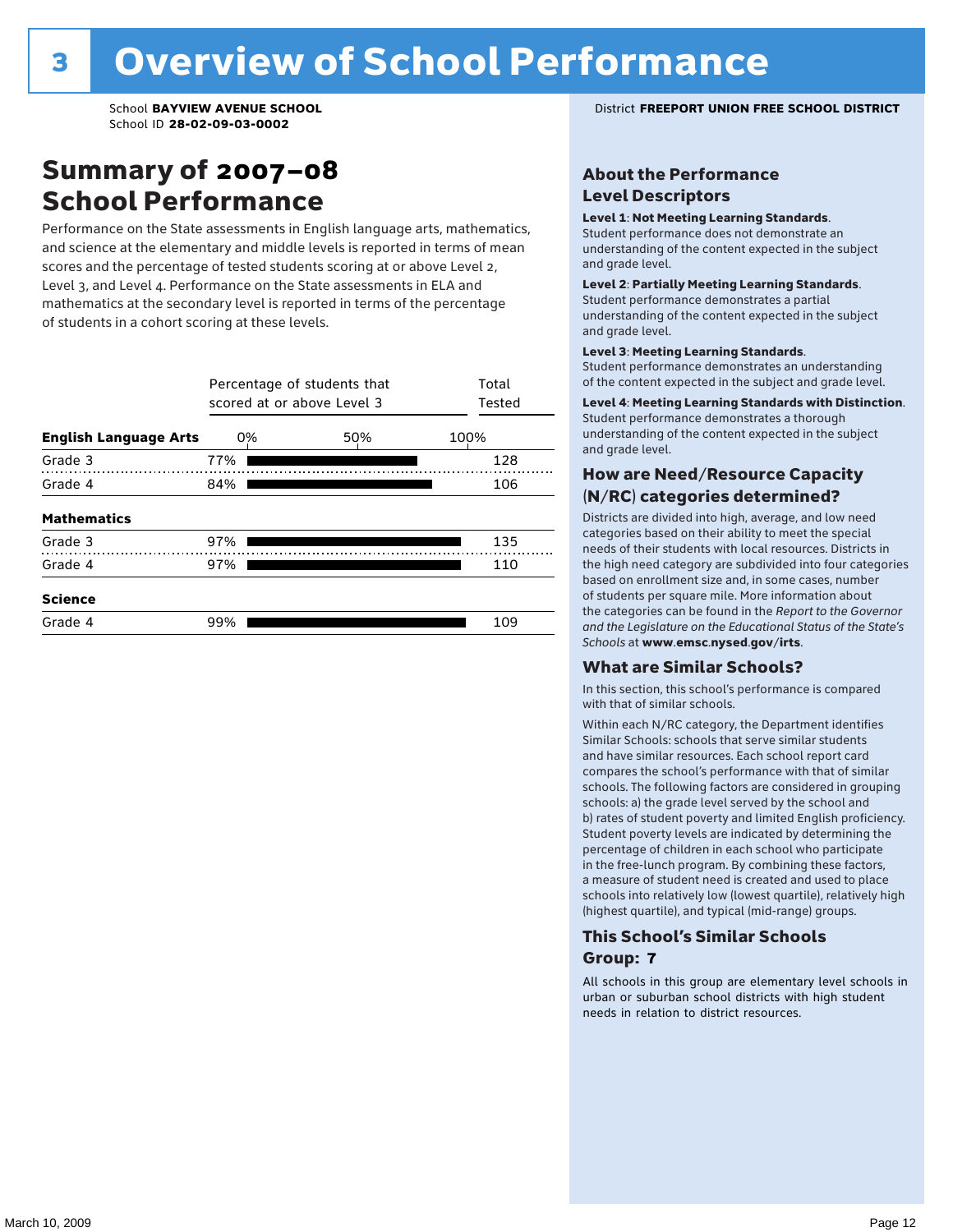### Summary of 2007–08 School Performance

Performance on the State assessments in English language arts, mathematics, and science at the elementary and middle levels is reported in terms of mean scores and the percentage of tested students scoring at or above Level 2, Level 3, and Level 4. Performance on the State assessments in ELA and mathematics at the secondary level is reported in terms of the percentage of students in a cohort scoring at these levels.

|                              | Percentage of students that<br>scored at or above Level 3 | Total<br>Tested |      |
|------------------------------|-----------------------------------------------------------|-----------------|------|
| <b>English Language Arts</b> | 0%                                                        | 50%             | 100% |
| Grade 3                      | 77%                                                       |                 | 128  |
| Grade 4                      | 84%                                                       |                 | 106  |
| <b>Mathematics</b>           |                                                           |                 |      |
| Grade 3                      | 97%                                                       |                 | 135  |
| Grade 4                      | 97%                                                       |                 | 110  |
| <b>Science</b>               |                                                           |                 |      |
| Grade 4                      | 99%                                                       |                 | 109  |

#### School **BAYVIEW AVENUE SCHOOL** District **FREEPORT UNION FREE SCHOOL DISTRICT**

#### About the Performance Level Descriptors

#### Level 1: Not Meeting Learning Standards.

Student performance does not demonstrate an understanding of the content expected in the subject and grade level.

#### Level 2: Partially Meeting Learning Standards.

Student performance demonstrates a partial understanding of the content expected in the subject and grade level.

#### Level 3: Meeting Learning Standards.

Student performance demonstrates an understanding of the content expected in the subject and grade level.

#### Level 4: Meeting Learning Standards with Distinction.

Student performance demonstrates a thorough understanding of the content expected in the subject and grade level.

#### How are Need/Resource Capacity (N/RC) categories determined?

Districts are divided into high, average, and low need categories based on their ability to meet the special needs of their students with local resources. Districts in the high need category are subdivided into four categories based on enrollment size and, in some cases, number of students per square mile. More information about the categories can be found in the *Report to the Governor and the Legislature on the Educational Status of the State's Schools* at www.emsc.nysed.gov/irts.

#### What are Similar Schools?

In this section, this school's performance is compared with that of similar schools.

Within each N/RC category, the Department identifies Similar Schools: schools that serve similar students and have similar resources. Each school report card compares the school's performance with that of similar schools. The following factors are considered in grouping schools: a) the grade level served by the school and b) rates of student poverty and limited English proficiency. Student poverty levels are indicated by determining the percentage of children in each school who participate in the free-lunch program. By combining these factors, a measure of student need is created and used to place schools into relatively low (lowest quartile), relatively high (highest quartile), and typical (mid-range) groups.

#### This School's Similar Schools Group: **7**

All schools in this group are elementary level schools in urban or suburban school districts with high student needs in relation to district resources.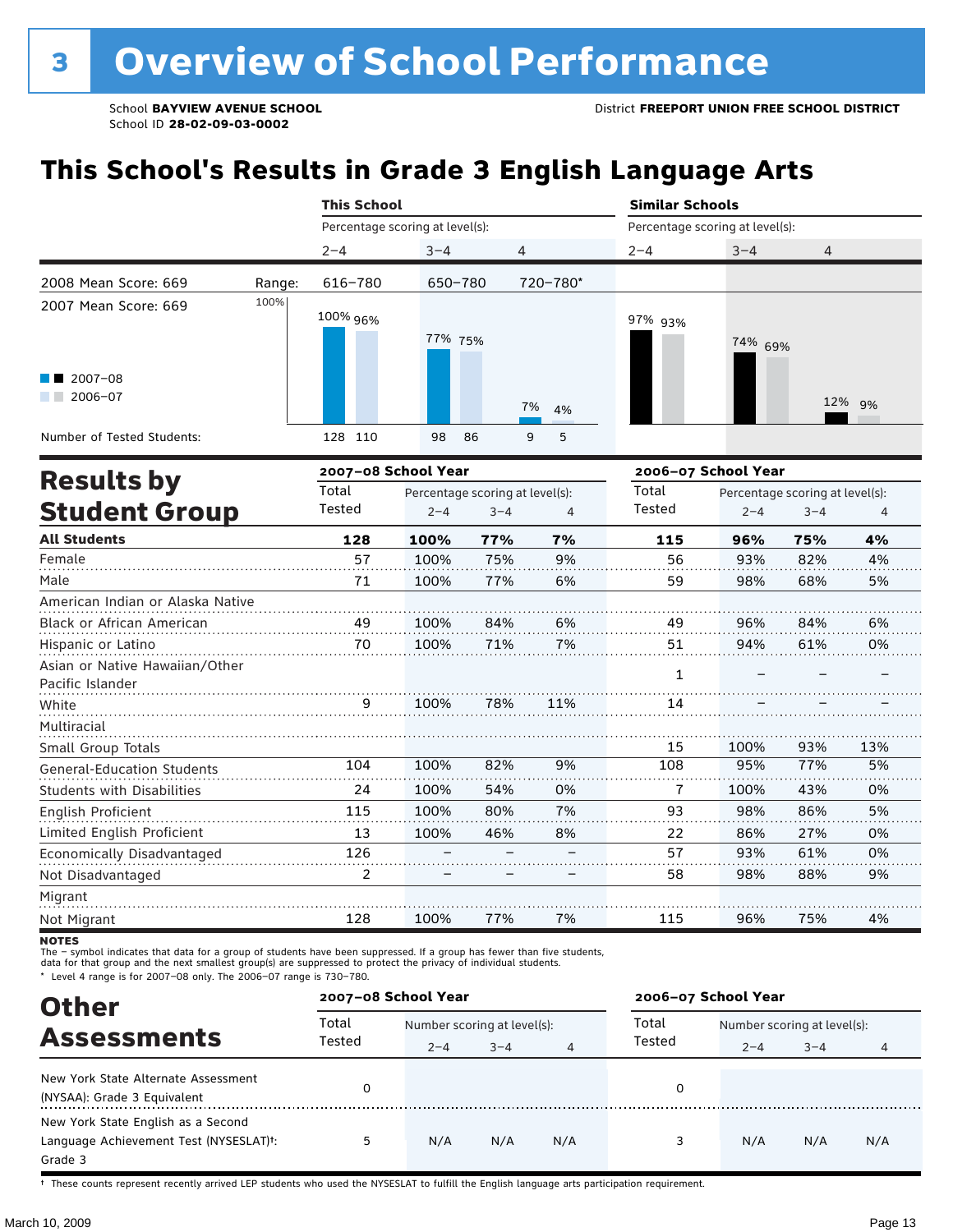## **This School's Results in Grade 3 English Language Arts**

|                                                    |        | <b>This School</b>              |                                 |         |          | <b>Similar Schools</b>          |         |                                 |        |  |
|----------------------------------------------------|--------|---------------------------------|---------------------------------|---------|----------|---------------------------------|---------|---------------------------------|--------|--|
|                                                    |        | Percentage scoring at level(s): |                                 |         |          | Percentage scoring at level(s): |         |                                 |        |  |
|                                                    |        | $2 - 4$                         | $3 - 4$                         | 4       |          | $2 - 4$                         | $3 - 4$ | 4                               |        |  |
| 2008 Mean Score: 669                               | Range: | 616-780                         | 650-780                         |         | 720-780* |                                 |         |                                 |        |  |
| 2007 Mean Score: 669                               | 100%   | 100% 96%                        | 77% 75%                         |         |          | 97% 93%                         | 74% 69% |                                 |        |  |
| $\blacksquare$ 2007-08<br>$2006 - 07$              |        |                                 |                                 |         | 7%<br>4% |                                 |         |                                 | 12% 9% |  |
| Number of Tested Students:                         |        | 128 110                         | 98                              | 86      | 5<br>9   |                                 |         |                                 |        |  |
| <b>Results by</b>                                  |        | 2007-08 School Year             |                                 |         |          | 2006-07 School Year             |         |                                 |        |  |
|                                                    |        | Total                           | Percentage scoring at level(s): |         |          | Total                           |         | Percentage scoring at level(s): |        |  |
| <b>Student Group</b>                               |        | Tested                          | $2 - 4$                         | $3 - 4$ | 4        | Tested                          | $2 - 4$ | $3 - 4$                         | 4      |  |
| <b>All Students</b>                                |        | 128                             | 100%                            | 77%     | 7%       | 115                             | 96%     | 75%                             | 4%     |  |
| Female                                             |        | 57                              | 100%                            | 75%     | 9%       | 56                              | 93%     | 82%                             | 4%     |  |
| Male                                               |        | 71                              | 100%                            | 77%     | 6%       | 59                              | 98%     | 68%                             | 5%     |  |
| American Indian or Alaska Native                   |        |                                 |                                 |         |          |                                 |         |                                 |        |  |
| Black or African American                          |        | 49                              | 100%                            | 84%     | 6%       | 49                              | 96%     | 84%                             | 6%     |  |
| Hispanic or Latino                                 |        | 70                              | 100%                            | 71%     | 7%       | 51                              | 94%     | 61%                             | 0%     |  |
| Asian or Native Hawaiian/Other<br>Pacific Islander |        |                                 |                                 |         |          | $\mathbf{1}$                    |         |                                 |        |  |
| White                                              |        | 9                               | 100%                            | 78%     | 11%      | 14                              |         |                                 |        |  |
| Multiracial                                        |        |                                 |                                 |         |          |                                 |         |                                 |        |  |
| Small Group Totals                                 |        |                                 |                                 |         |          | 15                              | 100%    | 93%                             | 13%    |  |
| <b>General-Education Students</b>                  |        | 104                             | 100%                            | 82%     | 9%       | 108                             | 95%     | 77%                             | 5%     |  |
| <b>Students with Disabilities</b>                  |        | 24                              | 100%                            | 54%     | 0%       | 7                               | 100%    | 43%                             | 0%     |  |
| English Proficient                                 |        | 115                             | 100%                            | 80%     | 7%       | 93                              | 98%     | 86%                             | 5%     |  |
| Limited English Proficient                         |        | 13                              | 100%                            | 46%     | 8%       | 22                              | 86%     | 27%                             | 0%     |  |
| Economically Disadvantaged                         |        | 126                             |                                 |         |          | 57                              | 93%     | 61%                             | 0%     |  |
| Not Disadvantaged                                  |        | $\overline{2}$                  |                                 |         |          | 58                              | 98%     | 88%                             | 9%     |  |
| Migrant                                            |        |                                 |                                 |         |          |                                 |         |                                 |        |  |
| Not Migrant                                        |        | 128                             | 100%                            | 77%     | 7%       | 115                             | 96%     | 75%                             | 4%     |  |

**NOTES** 

The – symbol indicates that data for a group of students have been suppressed. If a group has fewer than five students,<br>data for that group and the next smallest group(s) are suppressed to protect the privacy of individual

\* Level 4 range is for 2007–08 only. The 2006–07 range is 730–780.

| <b>Other</b>                                                                                         | 2007-08 School Year |                             |         |     | 2006-07 School Year |                             |         |     |  |
|------------------------------------------------------------------------------------------------------|---------------------|-----------------------------|---------|-----|---------------------|-----------------------------|---------|-----|--|
|                                                                                                      | Total               | Number scoring at level(s): |         |     | Total               | Number scoring at level(s): |         |     |  |
| <b>Assessments</b>                                                                                   | Tested              | $2 - 4$                     | $3 - 4$ | 4   | Tested              | $2 - 4$                     | $3 - 4$ | 4   |  |
| New York State Alternate Assessment<br>(NYSAA): Grade 3 Equivalent                                   |                     |                             |         |     | 0                   |                             |         |     |  |
| New York State English as a Second<br>Language Achievement Test (NYSESLAT) <sup>+</sup> :<br>Grade 3 | 5.                  | N/A                         | N/A     | N/A |                     | N/A                         | N/A     | N/A |  |

† These counts represent recently arrived LEP students who used the NYSESLAT to fulfill the English language arts participation requirement.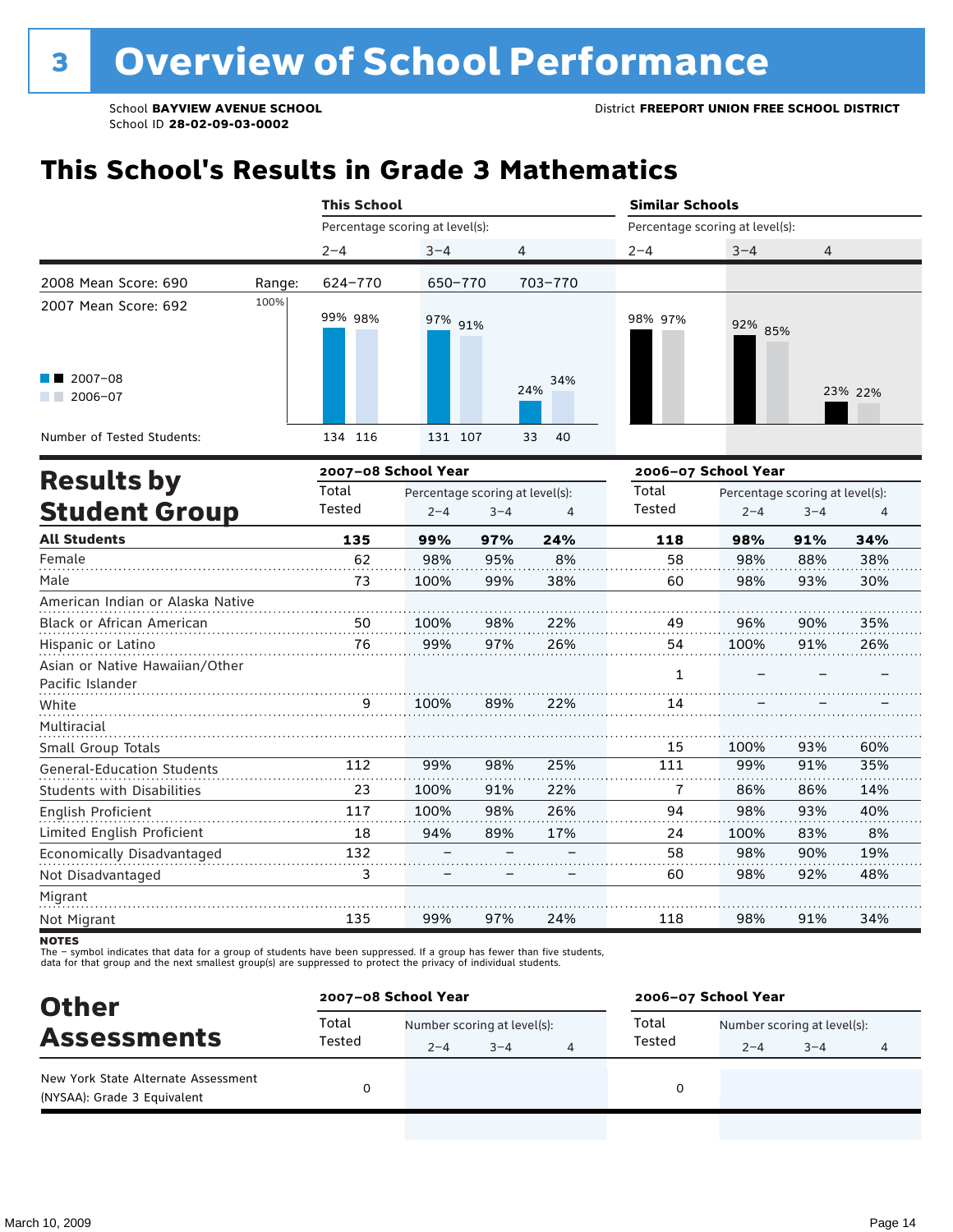## **This School's Results in Grade 3 Mathematics**

|                                                    |        | <b>This School</b>              |                                 |         |                | <b>Similar Schools</b>          |                     |                                 |                |  |
|----------------------------------------------------|--------|---------------------------------|---------------------------------|---------|----------------|---------------------------------|---------------------|---------------------------------|----------------|--|
|                                                    |        | Percentage scoring at level(s): |                                 |         |                | Percentage scoring at level(s): |                     |                                 |                |  |
|                                                    |        | $2 - 4$                         | $3 - 4$                         | 4       |                | $2 - 4$                         | $3 - 4$             | 4                               |                |  |
| 2008 Mean Score: 690                               | Range: | 624-770                         | 650-770                         |         | 703-770        |                                 |                     |                                 |                |  |
| 2007 Mean Score: 692                               | 100%   | 99% 98%                         | 97% 91%                         |         |                | 98% 97%                         | 92% 85%             |                                 |                |  |
| $2007 - 08$<br>$2006 - 07$                         |        |                                 |                                 |         | 34%<br>24%     |                                 |                     |                                 | 23% 22%        |  |
| Number of Tested Students:                         |        | 134 116                         | 131 107                         |         | 33<br>40       |                                 |                     |                                 |                |  |
|                                                    |        | 2007-08 School Year             |                                 |         |                |                                 | 2006-07 School Year |                                 |                |  |
| <b>Results by</b>                                  |        | Total                           | Percentage scoring at level(s): |         |                | Total                           |                     | Percentage scoring at level(s): |                |  |
| <b>Student Group</b>                               |        | Tested                          | $2 - 4$                         | $3 - 4$ | $\overline{4}$ | Tested                          | $2 - 4$             | $3 - 4$                         | $\overline{4}$ |  |
| <b>All Students</b>                                |        | 135                             | 99%                             | 97%     | 24%            | 118                             | 98%                 | 91%                             | 34%            |  |
| Female                                             |        | 62                              | 98%                             | 95%     | 8%             | 58                              | 98%                 | 88%                             | 38%            |  |
| Male                                               |        | 73                              | 100%                            | 99%     | 38%            | 60                              | 98%                 | 93%                             | 30%            |  |
| American Indian or Alaska Native                   |        |                                 |                                 |         |                |                                 |                     |                                 |                |  |
| Black or African American                          |        | 50                              | 100%                            | 98%     | 22%            | 49                              | 96%                 | 90%                             | 35%            |  |
| Hispanic or Latino                                 |        | 76                              | 99%                             | 97%     | 26%            | 54                              | 100%                | 91%                             | 26%            |  |
| Asian or Native Hawaiian/Other<br>Pacific Islander |        |                                 |                                 |         |                | 1                               |                     |                                 |                |  |
| White                                              |        | 9                               | 100%                            | 89%     | 22%            | 14                              |                     |                                 |                |  |
| Multiracial                                        |        |                                 |                                 |         |                |                                 |                     |                                 |                |  |
| Small Group Totals                                 |        |                                 |                                 |         |                | 15                              | 100%                | 93%                             | 60%            |  |
| <b>General-Education Students</b>                  |        | 112                             | 99%                             | 98%     | 25%            | 111                             | 99%                 | 91%                             | 35%            |  |
| <b>Students with Disabilities</b>                  |        | 23                              | 100%                            | 91%     | 22%            | 7                               | 86%                 | 86%                             | 14%            |  |
| English Proficient                                 |        | 117                             | 100%                            | 98%     | 26%            | 94                              | 98%                 | 93%                             | 40%            |  |
| Limited English Proficient                         |        | 18                              | 94%                             | 89%     | 17%            | 24                              | 100%                | 83%                             | 8%             |  |
| Economically Disadvantaged                         |        | 132                             |                                 |         |                | 58                              | 98%                 | 90%                             | 19%            |  |
| Not Disadvantaged                                  |        | 3                               |                                 |         |                | 60                              | 98%                 | 92%                             | 48%            |  |
| Migrant                                            |        |                                 |                                 |         |                |                                 |                     |                                 |                |  |

**NOTES** 

Not Migrant

135

The – symbol indicates that data for a group of students have been suppressed. If a group has fewer than five students,<br>data for that group and the next smallest group(s) are suppressed to protect the privacy of individual

| <b>Other</b>                                                       | 2007-08 School Year |                             |         | 2006-07 School Year |                             |         |   |  |
|--------------------------------------------------------------------|---------------------|-----------------------------|---------|---------------------|-----------------------------|---------|---|--|
| <b>Assessments</b>                                                 | Total               | Number scoring at level(s): |         | Total               | Number scoring at level(s): |         |   |  |
|                                                                    | Tested              | $2 - 4$                     | $3 - 4$ | Tested              | $2 - 4$                     | $3 - 4$ | 4 |  |
| New York State Alternate Assessment<br>(NYSAA): Grade 3 Equivalent |                     |                             |         |                     |                             |         |   |  |

97%

24%

118

98%

91%

34%

99%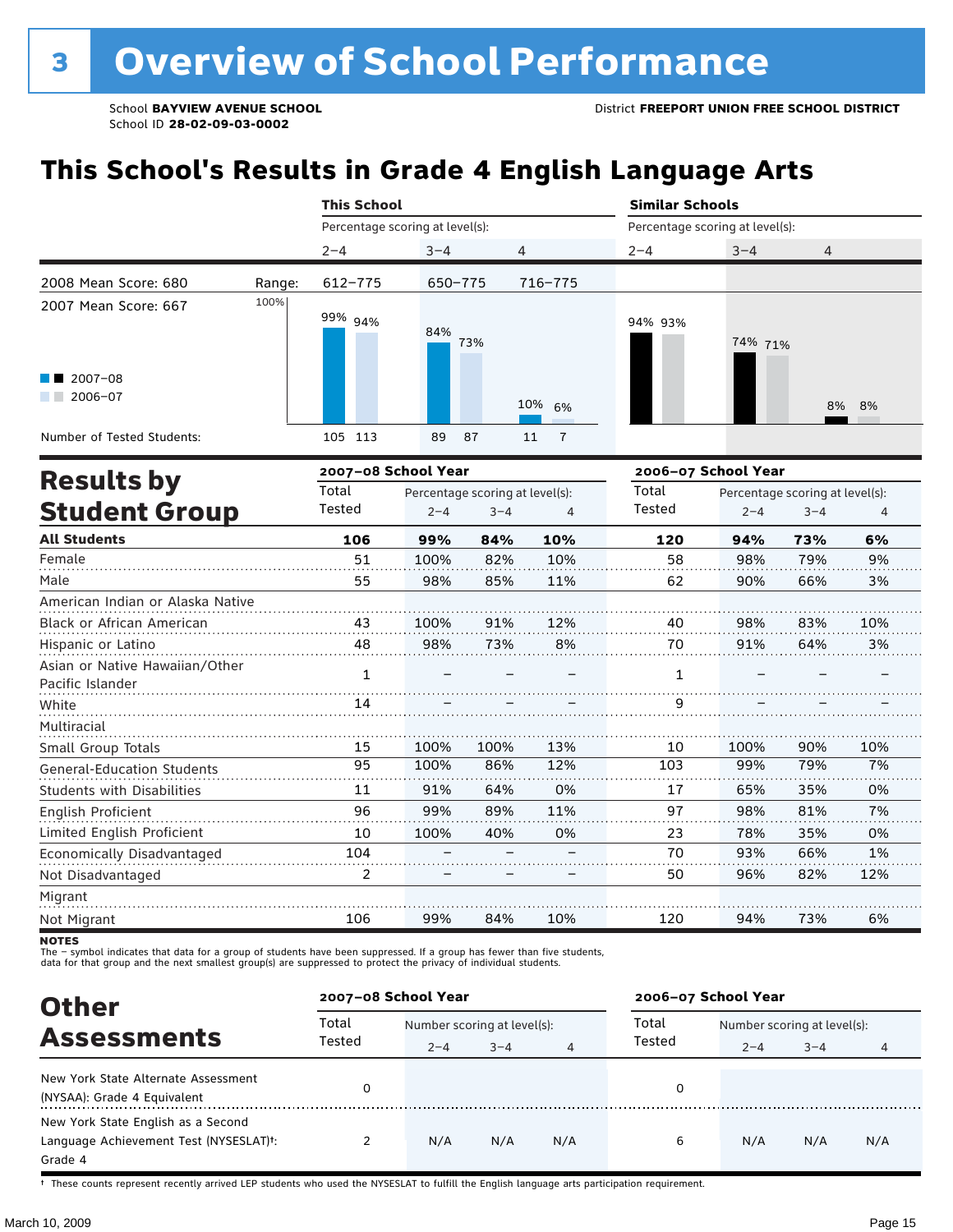## **This School's Results in Grade 4 English Language Arts**

|                                                           |        | <b>This School</b>              |                                 |         |                      | <b>Similar Schools</b> |                                 |                                 |        |  |  |
|-----------------------------------------------------------|--------|---------------------------------|---------------------------------|---------|----------------------|------------------------|---------------------------------|---------------------------------|--------|--|--|
|                                                           |        | Percentage scoring at level(s): |                                 |         |                      |                        | Percentage scoring at level(s): |                                 |        |  |  |
|                                                           |        | $2 - 4$                         | $3 - 4$                         | 4       |                      | $2 - 4$                | $3 - 4$                         | $\overline{4}$                  |        |  |  |
| 2008 Mean Score: 680                                      | Range: | 612-775                         | 650-775                         |         | 716-775              |                        |                                 |                                 |        |  |  |
| 2007 Mean Score: 667<br>$\blacksquare$ 2007-08<br>2006-07 | 100%   | 99% 94%                         | 84%                             | 73%     | 10% 6%               | 94% 93%                | 74% 71%                         |                                 | 8% 8%  |  |  |
| Number of Tested Students:                                |        | 105 113                         | 89                              | 87      | $\overline{7}$<br>11 |                        |                                 |                                 |        |  |  |
|                                                           |        | 2007-08 School Year             |                                 |         |                      |                        | 2006-07 School Year             |                                 |        |  |  |
| <b>Results by</b>                                         |        | Total                           | Percentage scoring at level(s): |         |                      | Total                  |                                 | Percentage scoring at level(s): |        |  |  |
| <b>Student Group</b>                                      |        | Tested                          | $2 - 4$                         | $3 - 4$ | 4                    | Tested                 | $2 - 4$                         | $3 - 4$                         | 4      |  |  |
| <b>All Students</b>                                       |        | 106                             | 99%                             | 84%     | 10%                  | 120                    | 94%                             | 73%                             | 6%     |  |  |
| Female                                                    |        | 51                              | 100%                            | 82%     | 10%                  | 58                     | 98%                             | 79%                             | 9%     |  |  |
| $A - L$                                                   |        |                                 | 0.001                           | 0.50    | 1.101                |                        | 0.001                           | CCD                             | $\sim$ |  |  |

| Male                              | 55  | 98%  | 85%  | 11% | 62  | 90%  | 66% | 3%  |
|-----------------------------------|-----|------|------|-----|-----|------|-----|-----|
| American Indian or Alaska Native  |     |      |      |     |     |      |     |     |
| <b>Black or African American</b>  | 43  | 100% | 91%  | 12% | 40  | 98%  | 83% | 10% |
| Hispanic or Latino                | 48  | 98%  | 73%  | 8%  | 70  | 91%  | 64% | 3%  |
| Asian or Native Hawaiian/Other    | 1   |      |      |     |     |      |     |     |
| Pacific Islander                  |     |      |      |     |     |      |     |     |
| White                             | 14  |      |      |     | 9   |      |     |     |
| Multiracial                       |     |      |      |     |     |      |     |     |
| Small Group Totals                | 15  | 100% | 100% | 13% | 10  | 100% | 90% | 10% |
| <b>General-Education Students</b> | 95  | 100% | 86%  | 12% | 103 | 99%  | 79% | 7%  |
| <b>Students with Disabilities</b> | 11  | 91%  | 64%  | 0%  | 17  | 65%  | 35% | 0%  |
| English Proficient                | 96  | 99%  | 89%  | 11% | 97  | 98%  | 81% | 7%  |
| Limited English Proficient        | 10  | 100% | 40%  | 0%  | 23  | 78%  | 35% | 0%  |
| Economically Disadvantaged        | 104 |      |      |     | 70  | 93%  | 66% | 1%  |
| Not Disadvantaged                 | 2   |      |      |     | 50  | 96%  | 82% | 12% |
| Migrant                           |     |      |      |     |     |      |     |     |
| Not Migrant                       | 106 | 99%  | 84%  | 10% | 120 | 94%  | 73% | 6%  |

**NOTES** 

The – symbol indicates that data for a group of students have been suppressed. If a group has fewer than five students,<br>data for that group and the next smallest group(s) are suppressed to protect the privacy of individual

| <b>Other</b>                                                                                         | 2007-08 School Year |                                        |         |     | 2006-07 School Year |                                        |         |     |
|------------------------------------------------------------------------------------------------------|---------------------|----------------------------------------|---------|-----|---------------------|----------------------------------------|---------|-----|
| <b>Assessments</b>                                                                                   | Total<br>Tested     | Number scoring at level(s):<br>$2 - 4$ | $3 - 4$ | 4   | Total<br>Tested     | Number scoring at level(s):<br>$2 - 4$ | $3 - 4$ | 4   |
| New York State Alternate Assessment<br>(NYSAA): Grade 4 Equivalent                                   |                     |                                        |         |     | 0                   |                                        |         |     |
| New York State English as a Second<br>Language Achievement Test (NYSESLAT) <sup>+</sup> :<br>Grade 4 |                     | N/A                                    | N/A     | N/A | 6                   | N/A                                    | N/A     | N/A |

† These counts represent recently arrived LEP students who used the NYSESLAT to fulfill the English language arts participation requirement.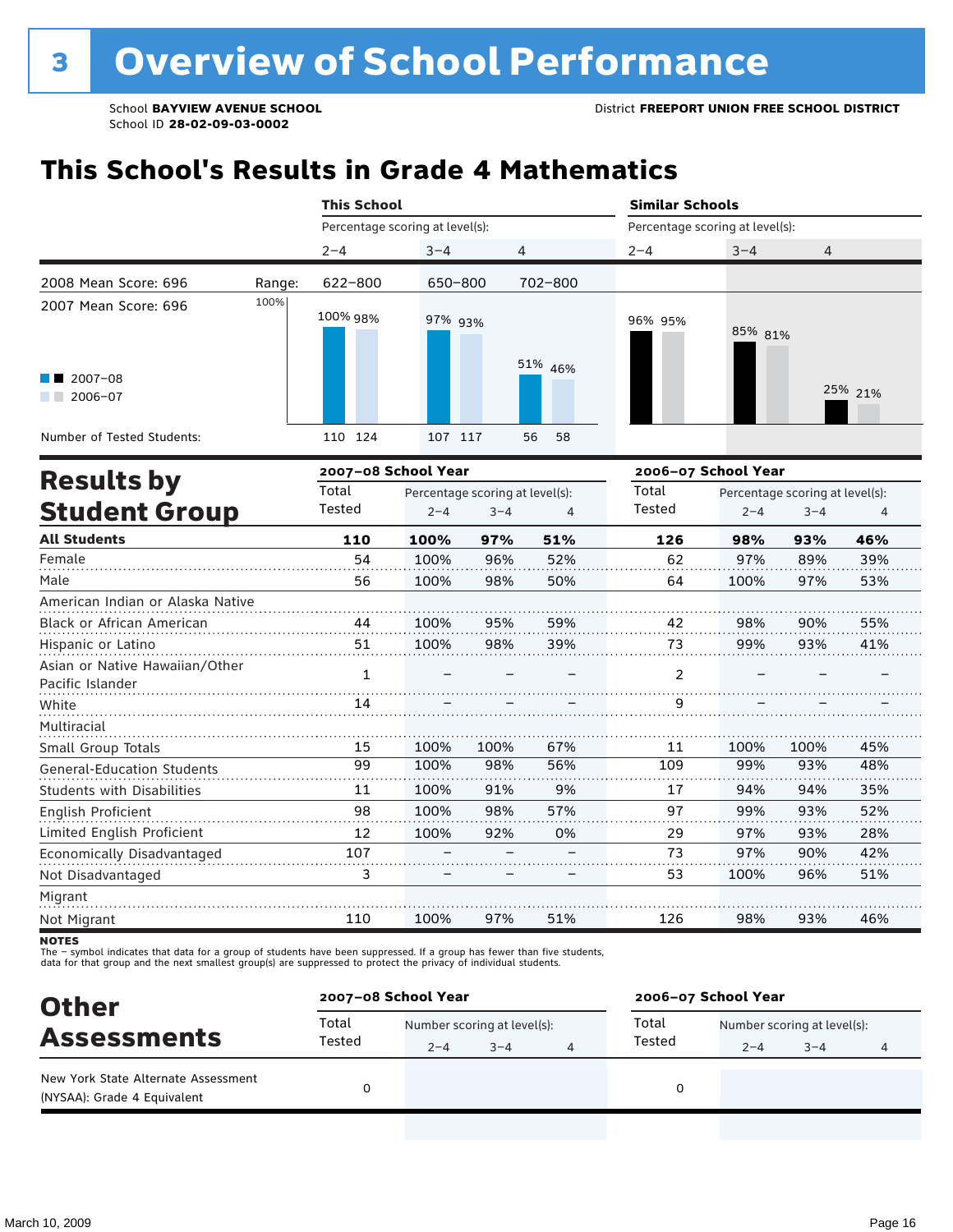## **This School's Results in Grade 4 Mathematics**

|                                                    |                                                                                            | <b>This School</b>              |         |      |          | <b>Similar Schools</b><br>Percentage scoring at level(s):                                            |         |      |         |  |
|----------------------------------------------------|--------------------------------------------------------------------------------------------|---------------------------------|---------|------|----------|------------------------------------------------------------------------------------------------------|---------|------|---------|--|
|                                                    |                                                                                            | Percentage scoring at level(s): |         |      |          |                                                                                                      |         |      |         |  |
|                                                    |                                                                                            | $2 - 4$                         | $3 - 4$ | 4    |          | $2 - 4$                                                                                              | $3 - 4$ | 4    |         |  |
| 2008 Mean Score: 696                               | Range:                                                                                     | 622-800                         | 650-800 |      | 702-800  |                                                                                                      |         |      |         |  |
| 2007 Mean Score: 696                               | 100%                                                                                       | 100% 98%                        | 97% 93% |      |          | 96% 95%                                                                                              | 85% 81% |      |         |  |
| $2007 - 08$<br>$2006 - 07$                         |                                                                                            |                                 |         |      | 51% 46%  |                                                                                                      |         |      | 25% 21% |  |
| Number of Tested Students:                         |                                                                                            | 110 124                         | 107 117 |      | 58<br>56 |                                                                                                      |         |      |         |  |
|                                                    |                                                                                            | 2007-08 School Year             |         |      |          | 2006-07 School Year<br>Total<br>Percentage scoring at level(s):<br>Tested<br>$3 - 4$<br>$2 - 4$<br>4 |         |      |         |  |
| <b>Results by</b><br><b>Student Group</b>          | Total<br>Percentage scoring at level(s):<br>Tested<br>$2 - 4$<br>$3 - 4$<br>$\overline{4}$ |                                 |         |      |          |                                                                                                      |         |      |         |  |
| <b>All Students</b>                                |                                                                                            | 110                             | 100%    | 97%  | 51%      | 126                                                                                                  | 98%     | 93%  | 46%     |  |
| Female                                             |                                                                                            | 54                              | 100%    | 96%  | 52%      | 62                                                                                                   | 97%     | 89%  | 39%     |  |
| Male                                               |                                                                                            | 56                              | 100%    | 98%  | 50%      | 64                                                                                                   | 100%    | 97%  | 53%     |  |
| American Indian or Alaska Native                   |                                                                                            |                                 |         |      |          |                                                                                                      |         |      |         |  |
| Black or African American                          |                                                                                            | 44                              | 100%    | 95%  | 59%      | 42                                                                                                   | 98%     | 90%  | 55%     |  |
| Hispanic or Latino                                 |                                                                                            | 51                              | 100%    | 98%  | 39%      | 73                                                                                                   | 99%     | 93%  | 41%     |  |
| Asian or Native Hawaiian/Other<br>Pacific Islander |                                                                                            | $\mathbf{1}$                    |         |      |          | 2                                                                                                    |         |      |         |  |
| White                                              |                                                                                            | 14                              |         |      |          | 9                                                                                                    |         |      |         |  |
| Multiracial                                        |                                                                                            |                                 |         |      |          |                                                                                                      |         |      |         |  |
| Small Group Totals                                 |                                                                                            | 15                              | 100%    | 100% | 67%      | 11                                                                                                   | 100%    | 100% | 45%     |  |
| <b>General-Education Students</b>                  |                                                                                            | 99                              | 100%    | 98%  | 56%      | 109                                                                                                  | 99%     | 93%  | 48%     |  |
| <b>Students with Disabilities</b>                  |                                                                                            | 11                              | 100%    | 91%  | 9%       | 17                                                                                                   | 94%     | 94%  | 35%     |  |
| English Proficient                                 |                                                                                            | 98                              | 100%    | 98%  | 57%      | 97                                                                                                   | 99%     | 93%  | 52%     |  |
| Limited English Proficient                         |                                                                                            | 12                              | 100%    | 92%  | 0%       | 29                                                                                                   | 97%     | 93%  | 28%     |  |
| Economically Disadvantaged                         |                                                                                            | 107                             |         |      |          | 73                                                                                                   | 97%     | 90%  | 42%     |  |
| Not Disadvantaged                                  |                                                                                            | 3                               |         |      |          | 53                                                                                                   | 100%    | 96%  | 51%     |  |
| Migrant                                            |                                                                                            |                                 |         |      |          |                                                                                                      |         |      |         |  |
| Not Migrant                                        |                                                                                            | 110                             | 100%    | 97%  | 51%      | 126                                                                                                  | 98%     | 93%  | 46%     |  |

**NOTES** 

The – symbol indicates that data for a group of students have been suppressed. If a group has fewer than five students,<br>data for that group and the next smallest group(s) are suppressed to protect the privacy of individual

| <b>Other</b>                                                       | 2007-08 School Year |                             |         |  | 2006-07 School Year |                             |         |  |  |
|--------------------------------------------------------------------|---------------------|-----------------------------|---------|--|---------------------|-----------------------------|---------|--|--|
|                                                                    | Total               | Number scoring at level(s): |         |  | Total               | Number scoring at level(s): |         |  |  |
| <b>Assessments</b>                                                 | Tested              | $2 - 4$                     | $3 - 4$ |  | Tested              | $2 - 4$                     | $3 - 4$ |  |  |
| New York State Alternate Assessment<br>(NYSAA): Grade 4 Equivalent |                     |                             |         |  |                     |                             |         |  |  |